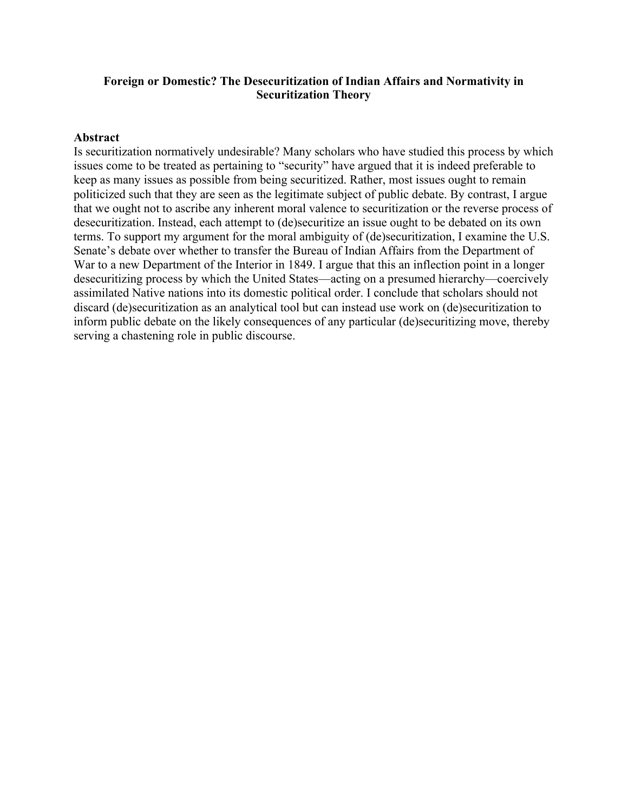# **Foreign or Domestic? The Desecuritization of Indian Affairs and Normativity in Securitization Theory**

### **Abstract**

Is securitization normatively undesirable? Many scholars who have studied this process by which issues come to be treated as pertaining to "security" have argued that it is indeed preferable to keep as many issues as possible from being securitized. Rather, most issues ought to remain politicized such that they are seen as the legitimate subject of public debate. By contrast, I argue that we ought not to ascribe any inherent moral valence to securitization or the reverse process of desecuritization. Instead, each attempt to (de)securitize an issue ought to be debated on its own terms. To support my argument for the moral ambiguity of (de)securitization, I examine the U.S. Senate's debate over whether to transfer the Bureau of Indian Affairs from the Department of War to a new Department of the Interior in 1849. I argue that this an inflection point in a longer desecuritizing process by which the United States—acting on a presumed hierarchy—coercively assimilated Native nations into its domestic political order. I conclude that scholars should not discard (de)securitization as an analytical tool but can instead use work on (de)securitization to inform public debate on the likely consequences of any particular (de)securitizing move, thereby serving a chastening role in public discourse.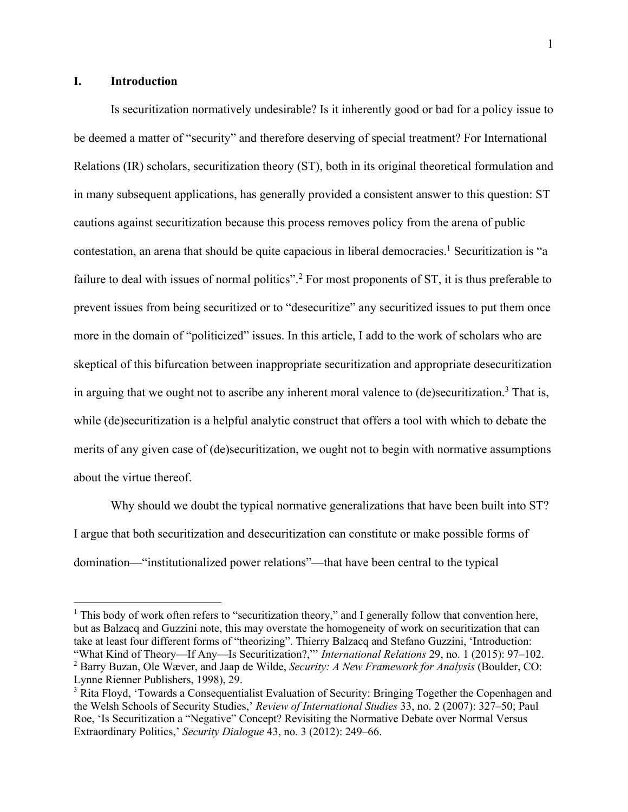## **I. Introduction**

Is securitization normatively undesirable? Is it inherently good or bad for a policy issue to be deemed a matter of "security" and therefore deserving of special treatment? For International Relations (IR) scholars, securitization theory (ST), both in its original theoretical formulation and in many subsequent applications, has generally provided a consistent answer to this question: ST cautions against securitization because this process removes policy from the arena of public contestation, an arena that should be quite capacious in liberal democracies. <sup>1</sup> Securitization is "a failure to deal with issues of normal politics".<sup>2</sup> For most proponents of ST, it is thus preferable to prevent issues from being securitized or to "desecuritize" any securitized issues to put them once more in the domain of "politicized" issues. In this article, I add to the work of scholars who are skeptical of this bifurcation between inappropriate securitization and appropriate desecuritization in arguing that we ought not to ascribe any inherent moral valence to (de)securitization.<sup>3</sup> That is, while (de)securitization is a helpful analytic construct that offers a tool with which to debate the merits of any given case of (de)securitization, we ought not to begin with normative assumptions about the virtue thereof.

Why should we doubt the typical normative generalizations that have been built into ST? I argue that both securitization and desecuritization can constitute or make possible forms of domination—"institutionalized power relations"—that have been central to the typical

 $1$ . This body of work often refers to "securitization theory," and I generally follow that convention here, but as Balzacq and Guzzini note, this may overstate the homogeneity of work on securitization that can take at least four different forms of "theorizing". Thierry Balzacq and Stefano Guzzini, 'Introduction: "What Kind of Theory—If Any—Is Securitization?,"' *International Relations* 29, no. 1 (2015): 97–102. <sup>2</sup> Barry Buzan, Ole Wæver, and Jaap de Wilde, *Security: A New Framework for Analysis* (Boulder, CO: Lynne Rienner Publishers, 1998), 29.

<sup>&</sup>lt;sup>3</sup> Rita Floyd, 'Towards a Consequentialist Evaluation of Security: Bringing Together the Copenhagen and the Welsh Schools of Security Studies,' *Review of International Studies* 33, no. 2 (2007): 327–50; Paul Roe, 'Is Securitization a "Negative" Concept? Revisiting the Normative Debate over Normal Versus Extraordinary Politics,' *Security Dialogue* 43, no. 3 (2012): 249–66.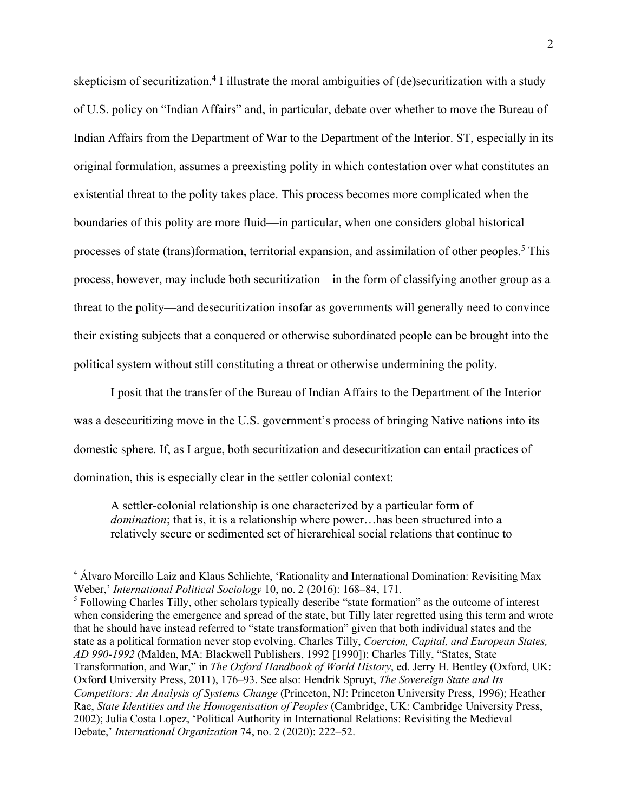skepticism of securitization.<sup>4</sup> I illustrate the moral ambiguities of (de)securitization with a study of U.S. policy on "Indian Affairs" and, in particular, debate over whether to move the Bureau of Indian Affairs from the Department of War to the Department of the Interior. ST, especially in its original formulation, assumes a preexisting polity in which contestation over what constitutes an existential threat to the polity takes place. This process becomes more complicated when the boundaries of this polity are more fluid—in particular, when one considers global historical processes of state (trans)formation, territorial expansion, and assimilation of other peoples. <sup>5</sup> This process, however, may include both securitization—in the form of classifying another group as a threat to the polity—and desecuritization insofar as governments will generally need to convince their existing subjects that a conquered or otherwise subordinated people can be brought into the political system without still constituting a threat or otherwise undermining the polity.

I posit that the transfer of the Bureau of Indian Affairs to the Department of the Interior was a desecuritizing move in the U.S. government's process of bringing Native nations into its domestic sphere. If, as I argue, both securitization and desecuritization can entail practices of domination, this is especially clear in the settler colonial context:

A settler-colonial relationship is one characterized by a particular form of *domination*; that is, it is a relationship where power...has been structured into a relatively secure or sedimented set of hierarchical social relations that continue to

<sup>&</sup>lt;sup>4</sup> Álvaro Morcillo Laiz and Klaus Schlichte, 'Rationality and International Domination: Revisiting Max Weber,' *International Political Sociology* 10, no. 2 (2016): 168–84, 171.

<sup>&</sup>lt;sup>5</sup> Following Charles Tilly, other scholars typically describe "state formation" as the outcome of interest when considering the emergence and spread of the state, but Tilly later regretted using this term and wrote that he should have instead referred to "state transformation" given that both individual states and the state as a political formation never stop evolving. Charles Tilly, *Coercion, Capital, and European States, AD 990-1992* (Malden, MA: Blackwell Publishers, 1992 [1990]); Charles Tilly, "States, State Transformation, and War," in *The Oxford Handbook of World History*, ed. Jerry H. Bentley (Oxford, UK: Oxford University Press, 2011), 176–93. See also: Hendrik Spruyt, *The Sovereign State and Its Competitors: An Analysis of Systems Change* (Princeton, NJ: Princeton University Press, 1996); Heather Rae, *State Identities and the Homogenisation of Peoples* (Cambridge, UK: Cambridge University Press, 2002); Julia Costa Lopez, 'Political Authority in International Relations: Revisiting the Medieval Debate,' *International Organization* 74, no. 2 (2020): 222–52.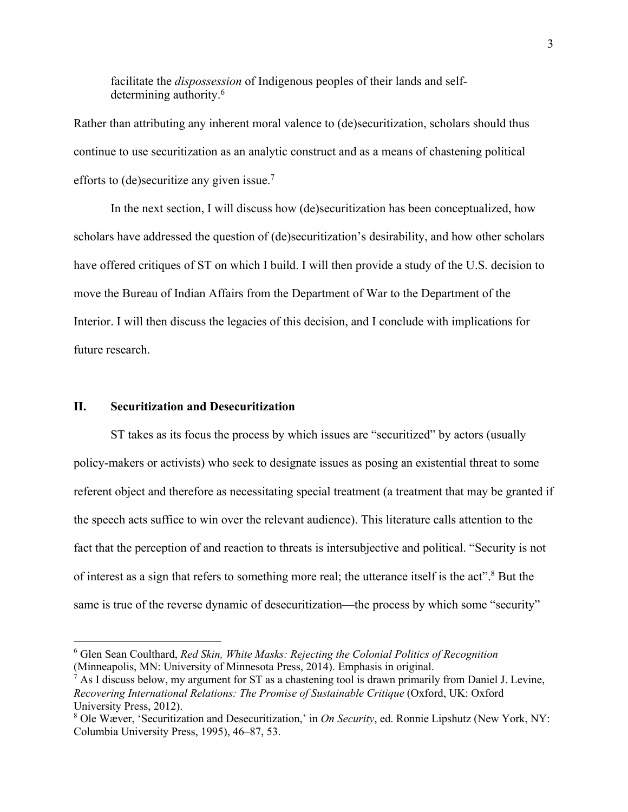facilitate the *dispossession* of Indigenous peoples of their lands and selfdetermining authority.<sup>6</sup>

Rather than attributing any inherent moral valence to (de)securitization, scholars should thus continue to use securitization as an analytic construct and as a means of chastening political efforts to (de)securitize any given issue.7

In the next section, I will discuss how (de)securitization has been conceptualized, how scholars have addressed the question of (de)securitization's desirability, and how other scholars have offered critiques of ST on which I build. I will then provide a study of the U.S. decision to move the Bureau of Indian Affairs from the Department of War to the Department of the Interior. I will then discuss the legacies of this decision, and I conclude with implications for future research.

# **II. Securitization and Desecuritization**

ST takes as its focus the process by which issues are "securitized" by actors (usually policy-makers or activists) who seek to designate issues as posing an existential threat to some referent object and therefore as necessitating special treatment (a treatment that may be granted if the speech acts suffice to win over the relevant audience). This literature calls attention to the fact that the perception of and reaction to threats is intersubjective and political. "Security is not of interest as a sign that refers to something more real; the utterance itself is the act". <sup>8</sup> But the same is true of the reverse dynamic of desecuritization—the process by which some "security"

<sup>6</sup> Glen Sean Coulthard, *Red Skin, White Masks: Rejecting the Colonial Politics of Recognition* (Minneapolis, MN: University of Minnesota Press, 2014). Emphasis in original.

 $<sup>7</sup>$  As I discuss below, my argument for ST as a chastening tool is drawn primarily from Daniel J. Levine,</sup> *Recovering International Relations: The Promise of Sustainable Critique* (Oxford, UK: Oxford University Press, 2012).

<sup>8</sup> Ole Wæver, 'Securitization and Desecuritization,' in *On Security*, ed. Ronnie Lipshutz (New York, NY: Columbia University Press, 1995), 46–87, 53.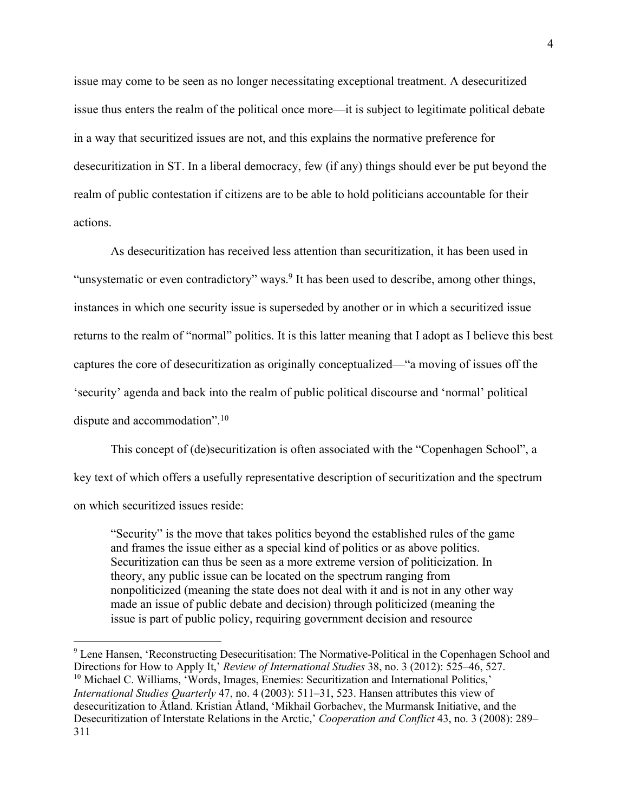issue may come to be seen as no longer necessitating exceptional treatment. A desecuritized issue thus enters the realm of the political once more—it is subject to legitimate political debate in a way that securitized issues are not, and this explains the normative preference for desecuritization in ST. In a liberal democracy, few (if any) things should ever be put beyond the realm of public contestation if citizens are to be able to hold politicians accountable for their actions.

As desecuritization has received less attention than securitization, it has been used in "unsystematic or even contradictory" ways.<sup>9</sup> It has been used to describe, among other things, instances in which one security issue is superseded by another or in which a securitized issue returns to the realm of "normal" politics. It is this latter meaning that I adopt as I believe this best captures the core of desecuritization as originally conceptualized—"a moving of issues off the 'security' agenda and back into the realm of public political discourse and 'normal' political dispute and accommodation".<sup>10</sup>

This concept of (de)securitization is often associated with the "Copenhagen School", a key text of which offers a usefully representative description of securitization and the spectrum on which securitized issues reside:

"Security" is the move that takes politics beyond the established rules of the game and frames the issue either as a special kind of politics or as above politics. Securitization can thus be seen as a more extreme version of politicization. In theory, any public issue can be located on the spectrum ranging from nonpoliticized (meaning the state does not deal with it and is not in any other way made an issue of public debate and decision) through politicized (meaning the issue is part of public policy, requiring government decision and resource

<sup>&</sup>lt;sup>9</sup> Lene Hansen, 'Reconstructing Desecuritisation: The Normative-Political in the Copenhagen School and Directions for How to Apply It,' *Review of International Studies* 38, no. 3 (2012): 525–46, 527.  $10$  Michael C. Williams, 'Words, Images, Enemies: Securitization and International Politics,' *International Studies Quarterly* 47, no. 4 (2003): 511–31, 523. Hansen attributes this view of desecuritization to Åtland. Kristian Åtland, 'Mikhail Gorbachev, the Murmansk Initiative, and the Desecuritization of Interstate Relations in the Arctic,' *Cooperation and Conflict* 43, no. 3 (2008): 289– 311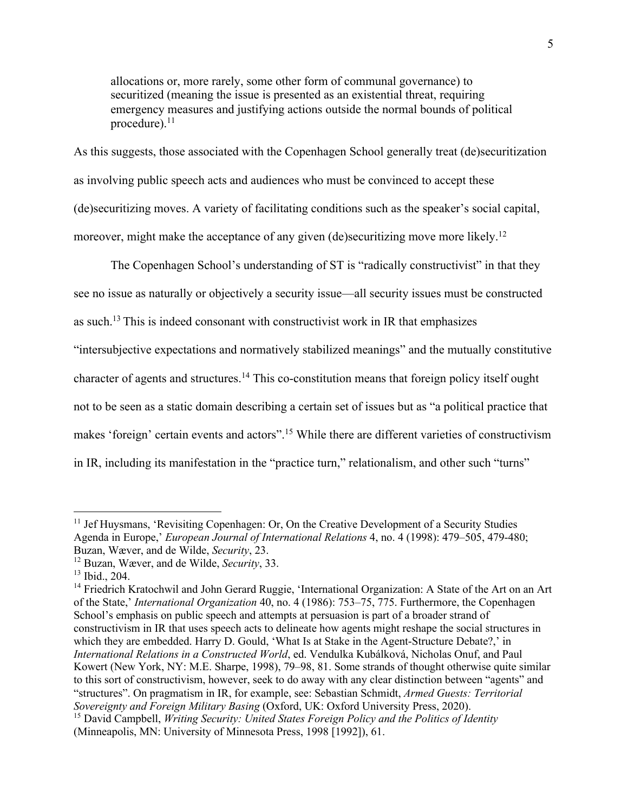allocations or, more rarely, some other form of communal governance) to securitized (meaning the issue is presented as an existential threat, requiring emergency measures and justifying actions outside the normal bounds of political procedure).<sup>11</sup>

As this suggests, those associated with the Copenhagen School generally treat (de)securitization as involving public speech acts and audiences who must be convinced to accept these (de)securitizing moves. A variety of facilitating conditions such as the speaker's social capital, moreover, might make the acceptance of any given (de)securitizing move more likely.<sup>12</sup>

The Copenhagen School's understanding of ST is "radically constructivist" in that they see no issue as naturally or objectively a security issue—all security issues must be constructed as such.13 This is indeed consonant with constructivist work in IR that emphasizes "intersubjective expectations and normatively stabilized meanings" and the mutually constitutive character of agents and structures. <sup>14</sup> This co-constitution means that foreign policy itself ought not to be seen as a static domain describing a certain set of issues but as "a political practice that makes 'foreign' certain events and actors".<sup>15</sup> While there are different varieties of constructivism in IR, including its manifestation in the "practice turn," relationalism, and other such "turns"

<sup>&</sup>lt;sup>11</sup> Jef Huysmans, 'Revisiting Copenhagen: Or, On the Creative Development of a Security Studies Agenda in Europe,' *European Journal of International Relations* 4, no. 4 (1998): 479–505, 479-480; Buzan, Wæver, and de Wilde, *Security*, 23.

<sup>12</sup> Buzan, Wæver, and de Wilde, *Security*, 33.

 $13$  Ibid., 204.

<sup>&</sup>lt;sup>14</sup> Friedrich Kratochwil and John Gerard Ruggie, 'International Organization: A State of the Art on an Art of the State,' *International Organization* 40, no. 4 (1986): 753–75, 775. Furthermore, the Copenhagen School's emphasis on public speech and attempts at persuasion is part of a broader strand of constructivism in IR that uses speech acts to delineate how agents might reshape the social structures in which they are embedded. Harry D. Gould, 'What Is at Stake in the Agent-Structure Debate?,' in *International Relations in a Constructed World*, ed. Vendulka Kubálková, Nicholas Onuf, and Paul Kowert (New York, NY: M.E. Sharpe, 1998), 79–98, 81. Some strands of thought otherwise quite similar to this sort of constructivism, however, seek to do away with any clear distinction between "agents" and "structures". On pragmatism in IR, for example, see: Sebastian Schmidt, *Armed Guests: Territorial Sovereignty and Foreign Military Basing* (Oxford, UK: Oxford University Press, 2020).

<sup>15</sup> David Campbell, *Writing Security: United States Foreign Policy and the Politics of Identity* (Minneapolis, MN: University of Minnesota Press, 1998 [1992]), 61.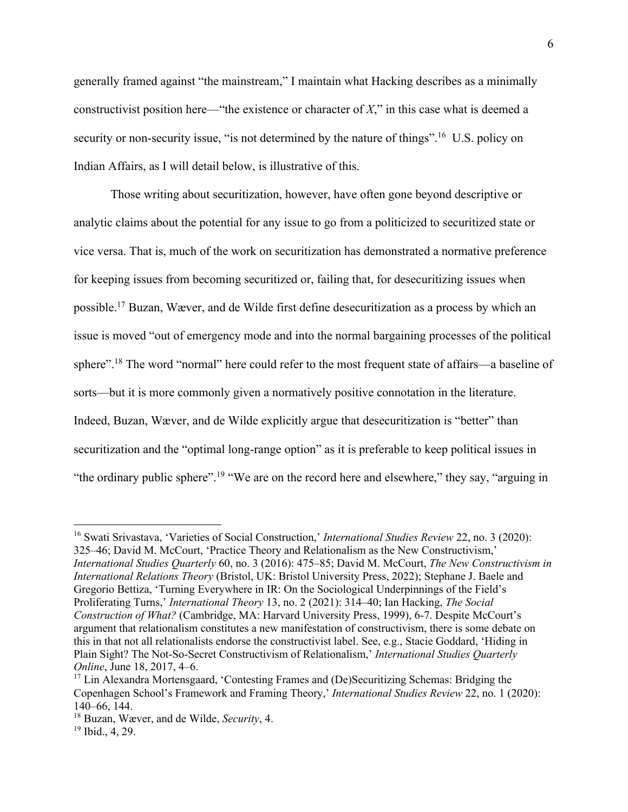generally framed against "the mainstream," I maintain what Hacking describes as a minimally constructivist position here—"the existence or character of *X*," in this case what is deemed a security or non-security issue, "is not determined by the nature of things".<sup>16</sup> U.S. policy on Indian Affairs, as I will detail below, is illustrative of this.

Those writing about securitization, however, have often gone beyond descriptive or analytic claims about the potential for any issue to go from a politicized to securitized state or vice versa. That is, much of the work on securitization has demonstrated a normative preference for keeping issues from becoming securitized or, failing that, for desecuritizing issues when possible.<sup>17</sup> Buzan, Wæver, and de Wilde first define desecuritization as a process by which an issue is moved "out of emergency mode and into the normal bargaining processes of the political sphere".18 The word "normal" here could refer to the most frequent state of affairs—a baseline of sorts—but it is more commonly given a normatively positive connotation in the literature. Indeed, Buzan, Wæver, and de Wilde explicitly argue that desecuritization is "better" than securitization and the "optimal long-range option" as it is preferable to keep political issues in "the ordinary public sphere".<sup>19</sup> "We are on the record here and elsewhere," they say, "arguing in

<sup>16</sup> Swati Srivastava, 'Varieties of Social Construction,' *International Studies Review* 22, no. 3 (2020): 325–46; David M. McCourt, 'Practice Theory and Relationalism as the New Constructivism,' *International Studies Quarterly* 60, no. 3 (2016): 475–85; David M. McCourt, *The New Constructivism in International Relations Theory* (Bristol, UK: Bristol University Press, 2022); Stephane J. Baele and Gregorio Bettiza, 'Turning Everywhere in IR: On the Sociological Underpinnings of the Field's Proliferating Turns,' *International Theory* 13, no. 2 (2021): 314–40; Ian Hacking, *The Social Construction of What?* (Cambridge, MA: Harvard University Press, 1999), 6-7. Despite McCourt's argument that relationalism constitutes a new manifestation of constructivism, there is some debate on this in that not all relationalists endorse the constructivist label. See, e.g., Stacie Goddard, 'Hiding in Plain Sight? The Not-So-Secret Constructivism of Relationalism,' *International Studies Quarterly Online*, June 18, 2017, 4–6.

<sup>&</sup>lt;sup>17</sup> Lin Alexandra Mortensgaard, 'Contesting Frames and  $(De)$ Securitizing Schemas: Bridging the Copenhagen School's Framework and Framing Theory,' *International Studies Review* 22, no. 1 (2020): 140–66, 144.

<sup>18</sup> Buzan, Wæver, and de Wilde, *Security*, 4.

 $19$  Ibid., 4, 29.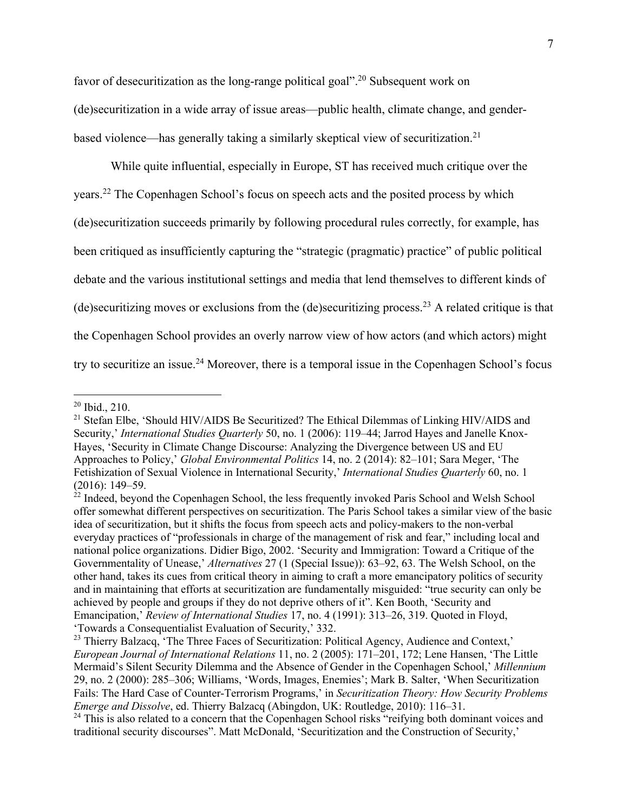favor of desecuritization as the long-range political goal".<sup>20</sup> Subsequent work on (de)securitization in a wide array of issue areas—public health, climate change, and genderbased violence—has generally taking a similarly skeptical view of securitization.<sup>21</sup>

While quite influential, especially in Europe, ST has received much critique over the years.22 The Copenhagen School's focus on speech acts and the posited process by which (de)securitization succeeds primarily by following procedural rules correctly, for example, has been critiqued as insufficiently capturing the "strategic (pragmatic) practice" of public political debate and the various institutional settings and media that lend themselves to different kinds of (de)securitizing moves or exclusions from the (de)securitizing process. <sup>23</sup> A related critique is that the Copenhagen School provides an overly narrow view of how actors (and which actors) might try to securitize an issue.<sup>24</sup> Moreover, there is a temporal issue in the Copenhagen School's focus

<sup>20</sup> Ibid., 210.

<sup>&</sup>lt;sup>21</sup> Stefan Elbe, 'Should HIV/AIDS Be Securitized? The Ethical Dilemmas of Linking HIV/AIDS and Security,' *International Studies Quarterly* 50, no. 1 (2006): 119–44; Jarrod Hayes and Janelle Knox-Hayes, 'Security in Climate Change Discourse: Analyzing the Divergence between US and EU Approaches to Policy,' *Global Environmental Politics* 14, no. 2 (2014): 82–101; Sara Meger, 'The Fetishization of Sexual Violence in International Security,' *International Studies Quarterly* 60, no. 1 (2016): 149–59.

 $^{22}$  Indeed, beyond the Copenhagen School, the less frequently invoked Paris School and Welsh School offer somewhat different perspectives on securitization. The Paris School takes a similar view of the basic idea of securitization, but it shifts the focus from speech acts and policy-makers to the non-verbal everyday practices of "professionals in charge of the management of risk and fear," including local and national police organizations. Didier Bigo, 2002. 'Security and Immigration: Toward a Critique of the Governmentality of Unease,' *Alternatives* 27 (1 (Special Issue)): 63–92, 63. The Welsh School, on the other hand, takes its cues from critical theory in aiming to craft a more emancipatory politics of security and in maintaining that efforts at securitization are fundamentally misguided: "true security can only be achieved by people and groups if they do not deprive others of it". Ken Booth, 'Security and Emancipation,' *Review of International Studies* 17, no. 4 (1991): 313–26, 319. Quoted in Floyd, 'Towards a Consequentialist Evaluation of Security,' 332.

<sup>&</sup>lt;sup>23</sup> Thierry Balzacq, 'The Three Faces of Securitization: Political Agency, Audience and Context,' *European Journal of International Relations* 11, no. 2 (2005): 171–201, 172; Lene Hansen, 'The Little Mermaid's Silent Security Dilemma and the Absence of Gender in the Copenhagen School,' *Millennium* 29, no. 2 (2000): 285–306; Williams, 'Words, Images, Enemies'; Mark B. Salter, 'When Securitization Fails: The Hard Case of Counter-Terrorism Programs,' in *Securitization Theory: How Security Problems Emerge and Dissolve*, ed. Thierry Balzacq (Abingdon, UK: Routledge, 2010): 116–31.

<sup>&</sup>lt;sup>24</sup> This is also related to a concern that the Copenhagen School risks "reifying both dominant voices and traditional security discourses". Matt McDonald, 'Securitization and the Construction of Security,'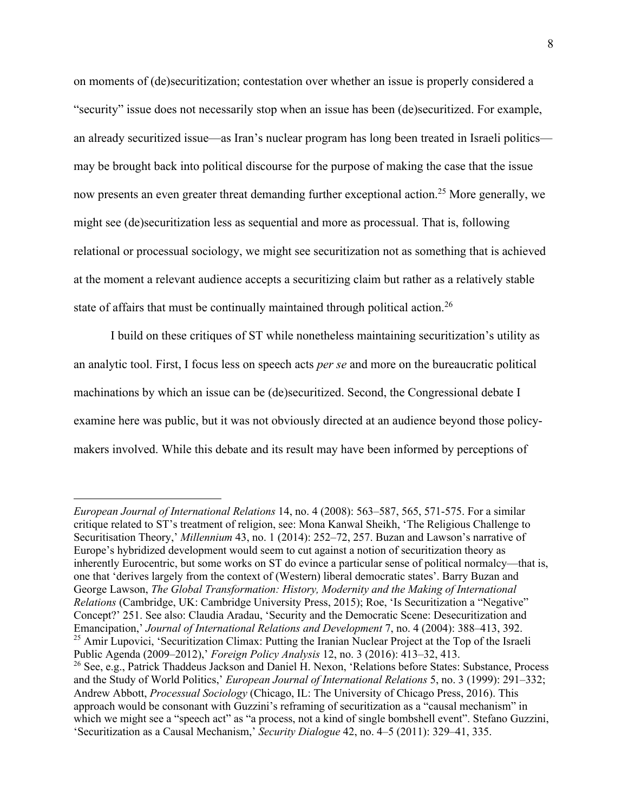on moments of (de)securitization; contestation over whether an issue is properly considered a "security" issue does not necessarily stop when an issue has been (de)securitized. For example, an already securitized issue—as Iran's nuclear program has long been treated in Israeli politics may be brought back into political discourse for the purpose of making the case that the issue now presents an even greater threat demanding further exceptional action.<sup>25</sup> More generally, we might see (de)securitization less as sequential and more as processual. That is, following relational or processual sociology, we might see securitization not as something that is achieved at the moment a relevant audience accepts a securitizing claim but rather as a relatively stable state of affairs that must be continually maintained through political action.<sup>26</sup>

I build on these critiques of ST while nonetheless maintaining securitization's utility as an analytic tool. First, I focus less on speech acts *per se* and more on the bureaucratic political machinations by which an issue can be (de)securitized. Second, the Congressional debate I examine here was public, but it was not obviously directed at an audience beyond those policymakers involved. While this debate and its result may have been informed by perceptions of

*European Journal of International Relations* 14, no. 4 (2008): 563–587, 565, 571-575. For a similar critique related to ST's treatment of religion, see: Mona Kanwal Sheikh, 'The Religious Challenge to Securitisation Theory,' *Millennium* 43, no. 1 (2014): 252–72, 257. Buzan and Lawson's narrative of Europe's hybridized development would seem to cut against a notion of securitization theory as inherently Eurocentric, but some works on ST do evince a particular sense of political normalcy—that is, one that 'derives largely from the context of (Western) liberal democratic states'. Barry Buzan and George Lawson, *The Global Transformation: History, Modernity and the Making of International Relations* (Cambridge, UK: Cambridge University Press, 2015); Roe, 'Is Securitization a "Negative" Concept?' 251. See also: Claudia Aradau, 'Security and the Democratic Scene: Desecuritization and Emancipation,' *Journal of International Relations and Development* 7, no. 4 (2004): 388–413, 392. <sup>25</sup> Amir Lupovici, 'Securitization Climax: Putting the Iranian Nuclear Project at the Top of the Israeli

Public Agenda (2009–2012),' *Foreign Policy Analysis* 12, no. 3 (2016): 413–32, 413.

<sup>&</sup>lt;sup>26</sup> See, e.g., Patrick Thaddeus Jackson and Daniel H. Nexon, 'Relations before States: Substance, Process and the Study of World Politics,' *European Journal of International Relations* 5, no. 3 (1999): 291–332; Andrew Abbott, *Processual Sociology* (Chicago, IL: The University of Chicago Press, 2016). This approach would be consonant with Guzzini's reframing of securitization as a "causal mechanism" in which we might see a "speech act" as "a process, not a kind of single bombshell event". Stefano Guzzini, 'Securitization as a Causal Mechanism,' *Security Dialogue* 42, no. 4–5 (2011): 329–41, 335.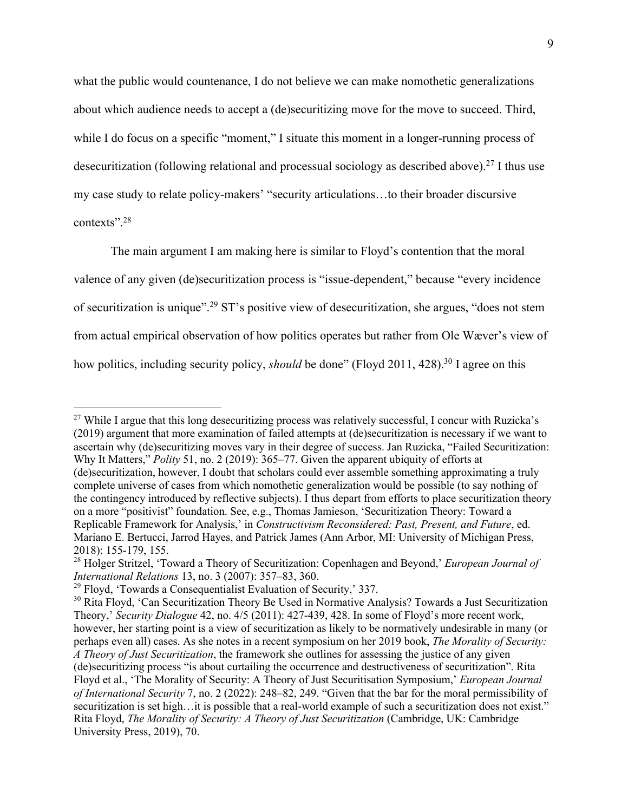what the public would countenance, I do not believe we can make nomothetic generalizations about which audience needs to accept a (de)securitizing move for the move to succeed. Third, while I do focus on a specific "moment," I situate this moment in a longer-running process of desecuritization (following relational and processual sociology as described above).<sup>27</sup> I thus use my case study to relate policy-makers' "security articulations…to their broader discursive contexts". 28

The main argument I am making here is similar to Floyd's contention that the moral valence of any given (de)securitization process is "issue-dependent," because "every incidence of securitization is unique".29 ST's positive view of desecuritization, she argues, "does not stem from actual empirical observation of how politics operates but rather from Ole Wæver's view of how politics, including security policy, *should* be done" (Floyd 2011, 428).<sup>30</sup> I agree on this

<sup>&</sup>lt;sup>27</sup> While I argue that this long desecuritizing process was relatively successful, I concur with Ruzicka's (2019) argument that more examination of failed attempts at (de)securitization is necessary if we want to ascertain why (de)securitizing moves vary in their degree of success. Jan Ruzicka, "Failed Securitization: Why It Matters," *Polity* 51, no. 2 (2019): 365–77. Given the apparent ubiquity of efforts at (de)securitization, however, I doubt that scholars could ever assemble something approximating a truly complete universe of cases from which nomothetic generalization would be possible (to say nothing of the contingency introduced by reflective subjects). I thus depart from efforts to place securitization theory on a more "positivist" foundation. See, e.g., Thomas Jamieson, 'Securitization Theory: Toward a Replicable Framework for Analysis,' in *Constructivism Reconsidered: Past, Present, and Future*, ed. Mariano E. Bertucci, Jarrod Hayes, and Patrick James (Ann Arbor, MI: University of Michigan Press, 2018): 155-179, 155.

<sup>28</sup> Holger Stritzel, 'Toward a Theory of Securitization: Copenhagen and Beyond,' *European Journal of International Relations* 13, no. 3 (2007): 357–83, 360.

 $29$  Floyd, 'Towards a Consequentialist Evaluation of Security,' 337.

<sup>&</sup>lt;sup>30</sup> Rita Floyd, 'Can Securitization Theory Be Used in Normative Analysis? Towards a Just Securitization Theory,' *Security Dialogue* 42, no. 4/5 (2011): 427-439, 428. In some of Floyd's more recent work, however, her starting point is a view of securitization as likely to be normatively undesirable in many (or perhaps even all) cases. As she notes in a recent symposium on her 2019 book, *The Morality of Security: A Theory of Just Securitization*, the framework she outlines for assessing the justice of any given (de)securitizing process "is about curtailing the occurrence and destructiveness of securitization". Rita Floyd et al., 'The Morality of Security: A Theory of Just Securitisation Symposium,' *European Journal of International Security* 7, no. 2 (2022): 248–82, 249. "Given that the bar for the moral permissibility of securitization is set high...it is possible that a real-world example of such a securitization does not exist." Rita Floyd, *The Morality of Security: A Theory of Just Securitization* (Cambridge, UK: Cambridge University Press, 2019), 70.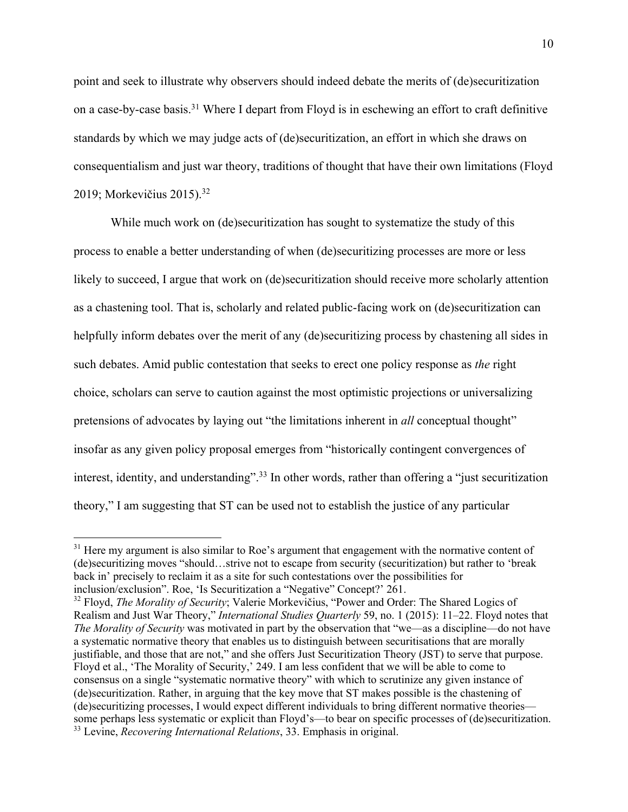point and seek to illustrate why observers should indeed debate the merits of (de)securitization on a case-by-case basis.31 Where I depart from Floyd is in eschewing an effort to craft definitive standards by which we may judge acts of (de)securitization, an effort in which she draws on consequentialism and just war theory, traditions of thought that have their own limitations (Floyd 2019; Morkevičius 2015). 32

While much work on (de)securitization has sought to systematize the study of this process to enable a better understanding of when (de)securitizing processes are more or less likely to succeed, I argue that work on (de)securitization should receive more scholarly attention as a chastening tool. That is, scholarly and related public-facing work on (de)securitization can helpfully inform debates over the merit of any (de)securitizing process by chastening all sides in such debates. Amid public contestation that seeks to erect one policy response as *the* right choice, scholars can serve to caution against the most optimistic projections or universalizing pretensions of advocates by laying out "the limitations inherent in *all* conceptual thought" insofar as any given policy proposal emerges from "historically contingent convergences of interest, identity, and understanding".<sup>33</sup> In other words, rather than offering a "just securitization theory," I am suggesting that ST can be used not to establish the justice of any particular

<sup>&</sup>lt;sup>31</sup> Here my argument is also similar to Roe's argument that engagement with the normative content of (de)securitizing moves "should…strive not to escape from security (securitization) but rather to 'break back in' precisely to reclaim it as a site for such contestations over the possibilities for inclusion/exclusion". Roe, 'Is Securitization a "Negative" Concept?' 261.

<sup>32</sup> Floyd, *The Morality of Security*; Valerie Morkevičius, "Power and Order: The Shared Logics of Realism and Just War Theory," *International Studies Quarterly* 59, no. 1 (2015): 11–22. Floyd notes that *The Morality of Security* was motivated in part by the observation that "we—as a discipline—do not have a systematic normative theory that enables us to distinguish between securitisations that are morally justifiable, and those that are not," and she offers Just Securitization Theory (JST) to serve that purpose. Floyd et al., 'The Morality of Security,' 249. I am less confident that we will be able to come to consensus on a single "systematic normative theory" with which to scrutinize any given instance of (de)securitization. Rather, in arguing that the key move that ST makes possible is the chastening of (de)securitizing processes, I would expect different individuals to bring different normative theories some perhaps less systematic or explicit than Floyd's—to bear on specific processes of (de)securitization. <sup>33</sup> Levine, *Recovering International Relations*, 33. Emphasis in original.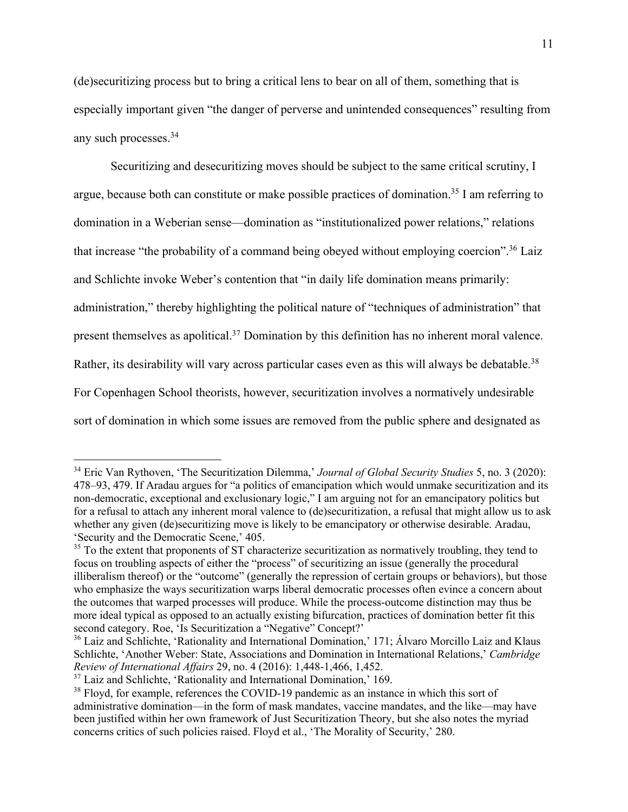(de)securitizing process but to bring a critical lens to bear on all of them, something that is especially important given "the danger of perverse and unintended consequences" resulting from any such processes. 34

Securitizing and desecuritizing moves should be subject to the same critical scrutiny, I argue, because both can constitute or make possible practices of domination.35 I am referring to domination in a Weberian sense—domination as "institutionalized power relations," relations that increase "the probability of a command being obeyed without employing coercion".<sup>36</sup> Laiz and Schlichte invoke Weber's contention that "in daily life domination means primarily: administration," thereby highlighting the political nature of "techniques of administration" that present themselves as apolitical.<sup>37</sup> Domination by this definition has no inherent moral valence. Rather, its desirability will vary across particular cases even as this will always be debatable.<sup>38</sup> For Copenhagen School theorists, however, securitization involves a normatively undesirable sort of domination in which some issues are removed from the public sphere and designated as

<sup>34</sup> Eric Van Rythoven, 'The Securitization Dilemma,' *Journal of Global Security Studies* 5, no. 3 (2020): 478–93, 479. If Aradau argues for "a politics of emancipation which would unmake securitization and its non-democratic, exceptional and exclusionary logic," I am arguing not for an emancipatory politics but for a refusal to attach any inherent moral valence to (de)securitization, a refusal that might allow us to ask whether any given (de)securitizing move is likely to be emancipatory or otherwise desirable. Aradau, 'Security and the Democratic Scene,' 405.

 $35$  To the extent that proponents of ST characterize securitization as normatively troubling, they tend to focus on troubling aspects of either the "process" of securitizing an issue (generally the procedural illiberalism thereof) or the "outcome" (generally the repression of certain groups or behaviors), but those who emphasize the ways securitization warps liberal democratic processes often evince a concern about the outcomes that warped processes will produce. While the process-outcome distinction may thus be more ideal typical as opposed to an actually existing bifurcation, practices of domination better fit this second category. Roe, 'Is Securitization a "Negative" Concept?'

<sup>&</sup>lt;sup>36</sup> Laiz and Schlichte, 'Rationality and International Domination,' 171; Álvaro Morcillo Laiz and Klaus Schlichte, 'Another Weber: State, Associations and Domination in International Relations,' *Cambridge Review of International Affairs* 29, no. 4 (2016): 1,448-1,466, 1,452.

<sup>&</sup>lt;sup>37</sup> Laiz and Schlichte, 'Rationality and International Domination,' 169.

<sup>&</sup>lt;sup>38</sup> Floyd, for example, references the COVID-19 pandemic as an instance in which this sort of administrative domination—in the form of mask mandates, vaccine mandates, and the like—may have been justified within her own framework of Just Securitization Theory, but she also notes the myriad concerns critics of such policies raised. Floyd et al., 'The Morality of Security,' 280.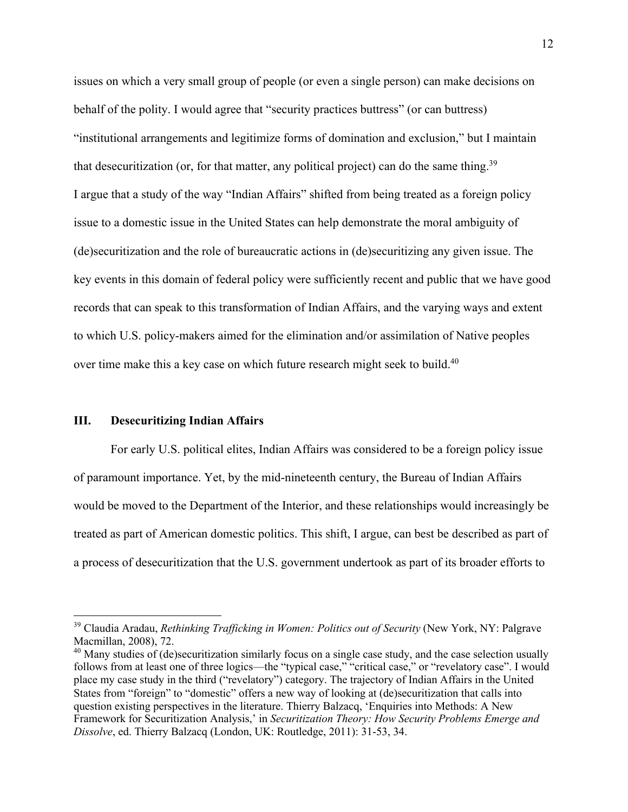issues on which a very small group of people (or even a single person) can make decisions on behalf of the polity. I would agree that "security practices buttress" (or can buttress) "institutional arrangements and legitimize forms of domination and exclusion," but I maintain that desecuritization (or, for that matter, any political project) can do the same thing.<sup>39</sup> I argue that a study of the way "Indian Affairs" shifted from being treated as a foreign policy issue to a domestic issue in the United States can help demonstrate the moral ambiguity of (de)securitization and the role of bureaucratic actions in (de)securitizing any given issue. The key events in this domain of federal policy were sufficiently recent and public that we have good records that can speak to this transformation of Indian Affairs, and the varying ways and extent to which U.S. policy-makers aimed for the elimination and/or assimilation of Native peoples over time make this a key case on which future research might seek to build.<sup>40</sup>

#### **III. Desecuritizing Indian Affairs**

For early U.S. political elites, Indian Affairs was considered to be a foreign policy issue of paramount importance. Yet, by the mid-nineteenth century, the Bureau of Indian Affairs would be moved to the Department of the Interior, and these relationships would increasingly be treated as part of American domestic politics. This shift, I argue, can best be described as part of a process of desecuritization that the U.S. government undertook as part of its broader efforts to

<sup>39</sup> Claudia Aradau, *Rethinking Trafficking in Women: Politics out of Security* (New York, NY: Palgrave Macmillan, 2008), 72.

 $40$  Many studies of (de)securitization similarly focus on a single case study, and the case selection usually follows from at least one of three logics—the "typical case," "critical case," or "revelatory case". I would place my case study in the third ("revelatory") category. The trajectory of Indian Affairs in the United States from "foreign" to "domestic" offers a new way of looking at (de)securitization that calls into question existing perspectives in the literature. Thierry Balzacq, 'Enquiries into Methods: A New Framework for Securitization Analysis,' in *Securitization Theory: How Security Problems Emerge and Dissolve*, ed. Thierry Balzacq (London, UK: Routledge, 2011): 31-53, 34.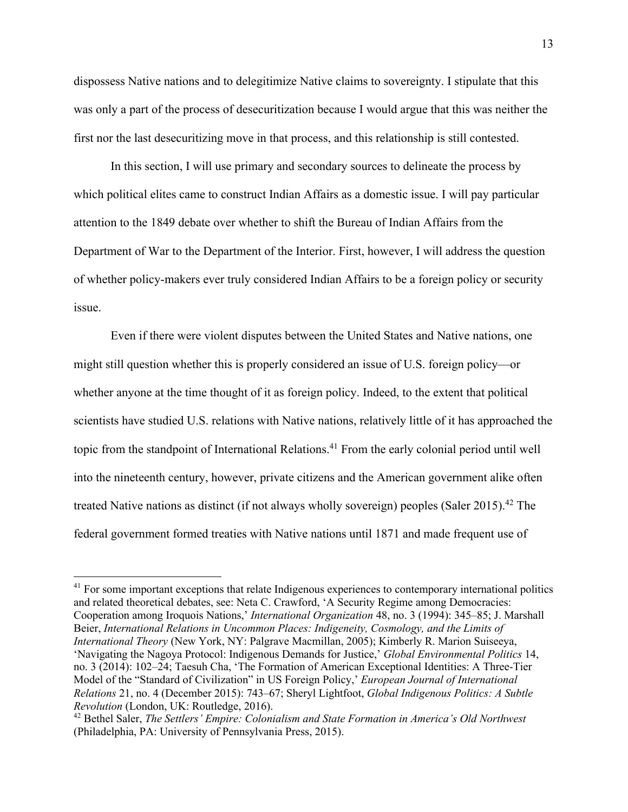dispossess Native nations and to delegitimize Native claims to sovereignty. I stipulate that this was only a part of the process of desecuritization because I would argue that this was neither the first nor the last desecuritizing move in that process, and this relationship is still contested.

In this section, I will use primary and secondary sources to delineate the process by which political elites came to construct Indian Affairs as a domestic issue. I will pay particular attention to the 1849 debate over whether to shift the Bureau of Indian Affairs from the Department of War to the Department of the Interior. First, however, I will address the question of whether policy-makers ever truly considered Indian Affairs to be a foreign policy or security issue.

Even if there were violent disputes between the United States and Native nations, one might still question whether this is properly considered an issue of U.S. foreign policy—or whether anyone at the time thought of it as foreign policy. Indeed, to the extent that political scientists have studied U.S. relations with Native nations, relatively little of it has approached the topic from the standpoint of International Relations. <sup>41</sup> From the early colonial period until well into the nineteenth century, however, private citizens and the American government alike often treated Native nations as distinct (if not always wholly sovereign) peoples (Saler 2015).<sup>42</sup> The federal government formed treaties with Native nations until 1871 and made frequent use of

 $41$  For some important exceptions that relate Indigenous experiences to contemporary international politics and related theoretical debates, see: Neta C. Crawford, 'A Security Regime among Democracies: Cooperation among Iroquois Nations,' *International Organization* 48, no. 3 (1994): 345–85; J. Marshall Beier, *International Relations in Uncommon Places: Indigeneity, Cosmology, and the Limits of International Theory* (New York, NY: Palgrave Macmillan, 2005); Kimberly R. Marion Suiseeya, 'Navigating the Nagoya Protocol: Indigenous Demands for Justice,' *Global Environmental Politics* 14, no. 3 (2014): 102–24; Taesuh Cha, 'The Formation of American Exceptional Identities: A Three-Tier Model of the "Standard of Civilization" in US Foreign Policy,' *European Journal of International Relations* 21, no. 4 (December 2015): 743–67; Sheryl Lightfoot, *Global Indigenous Politics: A Subtle Revolution* (London, UK: Routledge, 2016).

<sup>42</sup> Bethel Saler, *The Settlers' Empire: Colonialism and State Formation in America's Old Northwest* (Philadelphia, PA: University of Pennsylvania Press, 2015).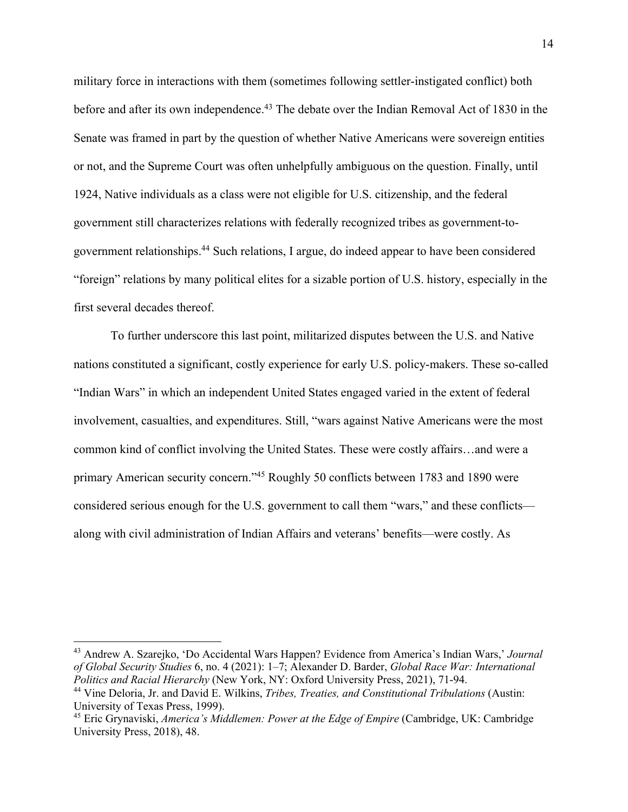military force in interactions with them (sometimes following settler-instigated conflict) both before and after its own independence.<sup>43</sup> The debate over the Indian Removal Act of 1830 in the Senate was framed in part by the question of whether Native Americans were sovereign entities or not, and the Supreme Court was often unhelpfully ambiguous on the question. Finally, until 1924, Native individuals as a class were not eligible for U.S. citizenship, and the federal government still characterizes relations with federally recognized tribes as government-togovernment relationships.<sup>44</sup> Such relations, I argue, do indeed appear to have been considered "foreign" relations by many political elites for a sizable portion of U.S. history, especially in the first several decades thereof.

To further underscore this last point, militarized disputes between the U.S. and Native nations constituted a significant, costly experience for early U.S. policy-makers. These so-called "Indian Wars" in which an independent United States engaged varied in the extent of federal involvement, casualties, and expenditures. Still, "wars against Native Americans were the most common kind of conflict involving the United States. These were costly affairs…and were a primary American security concern."45 Roughly 50 conflicts between 1783 and 1890 were considered serious enough for the U.S. government to call them "wars," and these conflicts along with civil administration of Indian Affairs and veterans' benefits—were costly. As

<sup>43</sup> Andrew A. Szarejko, 'Do Accidental Wars Happen? Evidence from America's Indian Wars,' *Journal of Global Security Studies* 6, no. 4 (2021): 1–7; Alexander D. Barder, *Global Race War: International Politics and Racial Hierarchy* (New York, NY: Oxford University Press, 2021), 71-94.

<sup>44</sup> Vine Deloria, Jr. and David E. Wilkins, *Tribes, Treaties, and Constitutional Tribulations* (Austin: University of Texas Press, 1999).

<sup>45</sup> Eric Grynaviski, *America's Middlemen: Power at the Edge of Empire* (Cambridge, UK: Cambridge University Press, 2018), 48.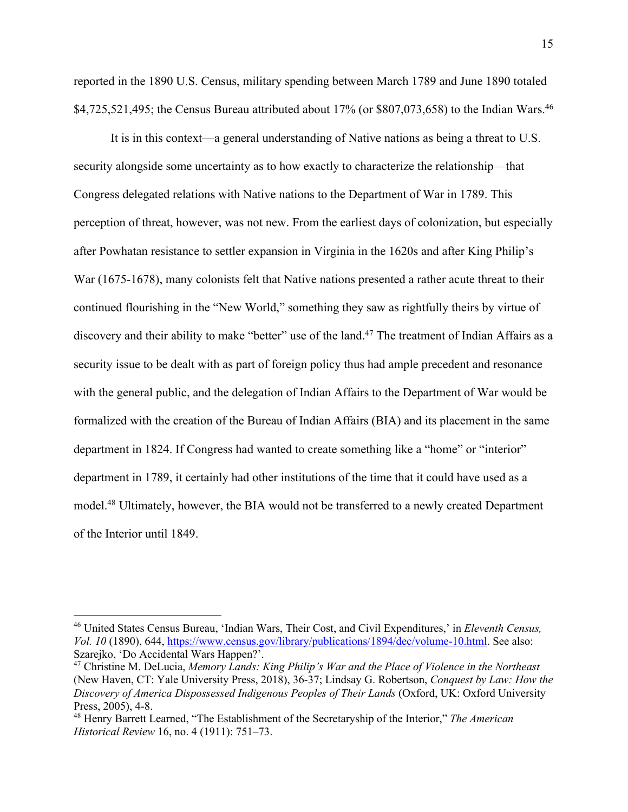reported in the 1890 U.S. Census, military spending between March 1789 and June 1890 totaled \$4,725,521,495; the Census Bureau attributed about 17% (or \$807,073,658) to the Indian Wars.<sup>46</sup>

It is in this context—a general understanding of Native nations as being a threat to U.S. security alongside some uncertainty as to how exactly to characterize the relationship—that Congress delegated relations with Native nations to the Department of War in 1789. This perception of threat, however, was not new. From the earliest days of colonization, but especially after Powhatan resistance to settler expansion in Virginia in the 1620s and after King Philip's War (1675-1678), many colonists felt that Native nations presented a rather acute threat to their continued flourishing in the "New World," something they saw as rightfully theirs by virtue of discovery and their ability to make "better" use of the land.<sup>47</sup> The treatment of Indian Affairs as a security issue to be dealt with as part of foreign policy thus had ample precedent and resonance with the general public, and the delegation of Indian Affairs to the Department of War would be formalized with the creation of the Bureau of Indian Affairs (BIA) and its placement in the same department in 1824. If Congress had wanted to create something like a "home" or "interior" department in 1789, it certainly had other institutions of the time that it could have used as a model.<sup>48</sup> Ultimately, however, the BIA would not be transferred to a newly created Department of the Interior until 1849.

<sup>46</sup> United States Census Bureau, 'Indian Wars, Their Cost, and Civil Expenditures,' in *Eleventh Census, Vol. 10* (1890), 644, https://www.census.gov/library/publications/1894/dec/volume-10.html. See also: Szarejko, 'Do Accidental Wars Happen?'.

<sup>47</sup> Christine M. DeLucia, *Memory Lands: King Philip's War and the Place of Violence in the Northeast* (New Haven, CT: Yale University Press, 2018), 36-37; Lindsay G. Robertson, *Conquest by Law: How the Discovery of America Dispossessed Indigenous Peoples of Their Lands* (Oxford, UK: Oxford University Press, 2005), 4-8.

<sup>48</sup> Henry Barrett Learned, "The Establishment of the Secretaryship of the Interior," *The American Historical Review* 16, no. 4 (1911): 751–73.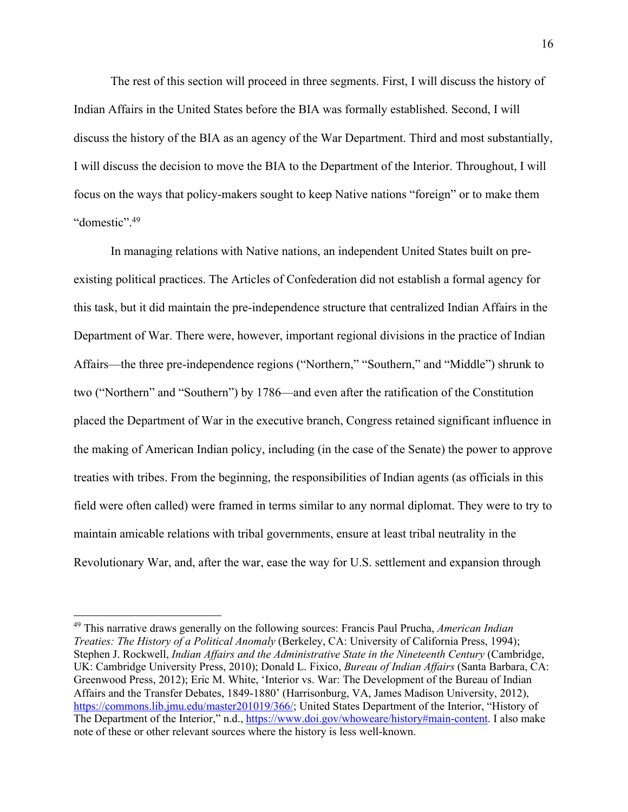The rest of this section will proceed in three segments. First, I will discuss the history of Indian Affairs in the United States before the BIA was formally established. Second, I will discuss the history of the BIA as an agency of the War Department. Third and most substantially, I will discuss the decision to move the BIA to the Department of the Interior. Throughout, I will focus on the ways that policy-makers sought to keep Native nations "foreign" or to make them "domestic".<sup>49</sup>

In managing relations with Native nations, an independent United States built on preexisting political practices. The Articles of Confederation did not establish a formal agency for this task, but it did maintain the pre-independence structure that centralized Indian Affairs in the Department of War. There were, however, important regional divisions in the practice of Indian Affairs—the three pre-independence regions ("Northern," "Southern," and "Middle") shrunk to two ("Northern" and "Southern") by 1786—and even after the ratification of the Constitution placed the Department of War in the executive branch, Congress retained significant influence in the making of American Indian policy, including (in the case of the Senate) the power to approve treaties with tribes. From the beginning, the responsibilities of Indian agents (as officials in this field were often called) were framed in terms similar to any normal diplomat. They were to try to maintain amicable relations with tribal governments, ensure at least tribal neutrality in the Revolutionary War, and, after the war, ease the way for U.S. settlement and expansion through

<sup>49</sup> This narrative draws generally on the following sources: Francis Paul Prucha, *American Indian Treaties: The History of a Political Anomaly* (Berkeley, CA: University of California Press, 1994); Stephen J. Rockwell, *Indian Affairs and the Administrative State in the Nineteenth Century* (Cambridge, UK: Cambridge University Press, 2010); Donald L. Fixico, *Bureau of Indian Affairs* (Santa Barbara, CA: Greenwood Press, 2012); Eric M. White, 'Interior vs. War: The Development of the Bureau of Indian Affairs and the Transfer Debates, 1849-1880' (Harrisonburg, VA, James Madison University, 2012), https://commons.lib.jmu.edu/master201019/366/; United States Department of the Interior, "History of The Department of the Interior," n.d., https://www.doi.gov/whoweare/history#main-content. I also make note of these or other relevant sources where the history is less well-known.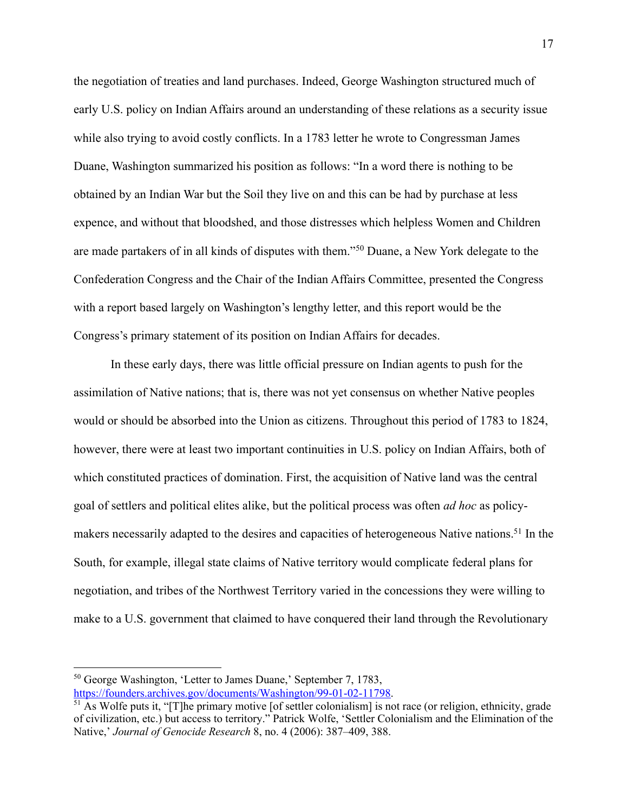the negotiation of treaties and land purchases. Indeed, George Washington structured much of early U.S. policy on Indian Affairs around an understanding of these relations as a security issue while also trying to avoid costly conflicts. In a 1783 letter he wrote to Congressman James Duane, Washington summarized his position as follows: "In a word there is nothing to be obtained by an Indian War but the Soil they live on and this can be had by purchase at less expence, and without that bloodshed, and those distresses which helpless Women and Children are made partakers of in all kinds of disputes with them."50 Duane, a New York delegate to the Confederation Congress and the Chair of the Indian Affairs Committee, presented the Congress with a report based largely on Washington's lengthy letter, and this report would be the Congress's primary statement of its position on Indian Affairs for decades.

In these early days, there was little official pressure on Indian agents to push for the assimilation of Native nations; that is, there was not yet consensus on whether Native peoples would or should be absorbed into the Union as citizens. Throughout this period of 1783 to 1824, however, there were at least two important continuities in U.S. policy on Indian Affairs, both of which constituted practices of domination. First, the acquisition of Native land was the central goal of settlers and political elites alike, but the political process was often *ad hoc* as policymakers necessarily adapted to the desires and capacities of heterogeneous Native nations.<sup>51</sup> In the South, for example, illegal state claims of Native territory would complicate federal plans for negotiation, and tribes of the Northwest Territory varied in the concessions they were willing to make to a U.S. government that claimed to have conquered their land through the Revolutionary

<sup>50</sup> George Washington, 'Letter to James Duane,' September 7, 1783,

https://founders.archives.gov/documents/Washington/99-01-02-11798.

 $\overline{51}$  As Wolfe puts it, "[T]he primary motive [of settler colonialism] is not race (or religion, ethnicity, grade of civilization, etc.) but access to territory." Patrick Wolfe, 'Settler Colonialism and the Elimination of the Native,' *Journal of Genocide Research* 8, no. 4 (2006): 387–409, 388.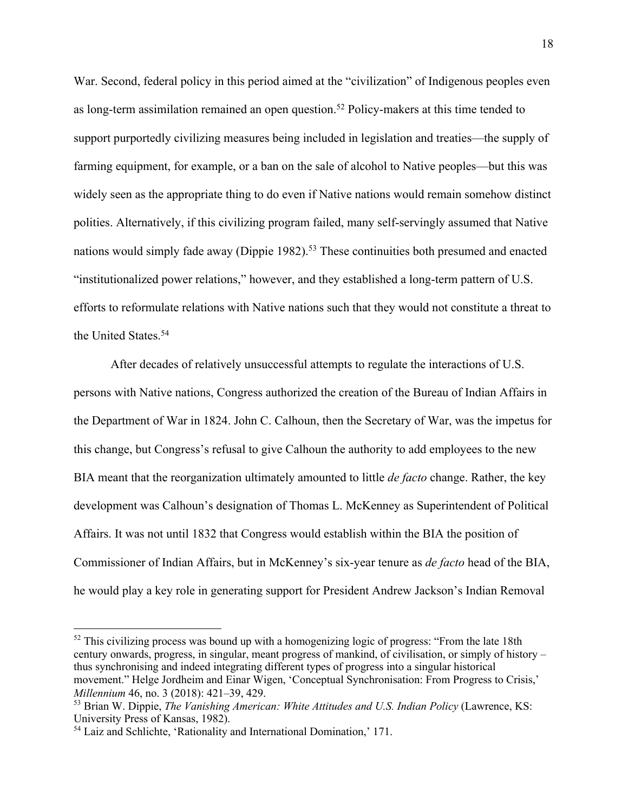War. Second, federal policy in this period aimed at the "civilization" of Indigenous peoples even as long-term assimilation remained an open question.<sup>52</sup> Policy-makers at this time tended to support purportedly civilizing measures being included in legislation and treaties—the supply of farming equipment, for example, or a ban on the sale of alcohol to Native peoples—but this was widely seen as the appropriate thing to do even if Native nations would remain somehow distinct polities. Alternatively, if this civilizing program failed, many self-servingly assumed that Native nations would simply fade away (Dippie 1982).<sup>53</sup> These continuities both presumed and enacted "institutionalized power relations," however, and they established a long-term pattern of U.S. efforts to reformulate relations with Native nations such that they would not constitute a threat to the United States. 54

After decades of relatively unsuccessful attempts to regulate the interactions of U.S. persons with Native nations, Congress authorized the creation of the Bureau of Indian Affairs in the Department of War in 1824. John C. Calhoun, then the Secretary of War, was the impetus for this change, but Congress's refusal to give Calhoun the authority to add employees to the new BIA meant that the reorganization ultimately amounted to little *de facto* change. Rather, the key development was Calhoun's designation of Thomas L. McKenney as Superintendent of Political Affairs. It was not until 1832 that Congress would establish within the BIA the position of Commissioner of Indian Affairs, but in McKenney's six-year tenure as *de facto* head of the BIA, he would play a key role in generating support for President Andrew Jackson's Indian Removal

 $52$  This civilizing process was bound up with a homogenizing logic of progress: "From the late 18th century onwards, progress, in singular, meant progress of mankind, of civilisation, or simply of history – thus synchronising and indeed integrating different types of progress into a singular historical movement." Helge Jordheim and Einar Wigen, 'Conceptual Synchronisation: From Progress to Crisis,' *Millennium* 46, no. 3 (2018): 421–39, 429.

<sup>53</sup> Brian W. Dippie, *The Vanishing American: White Attitudes and U.S. Indian Policy* (Lawrence, KS: University Press of Kansas, 1982).

<sup>&</sup>lt;sup>54</sup> Laiz and Schlichte, 'Rationality and International Domination,' 171.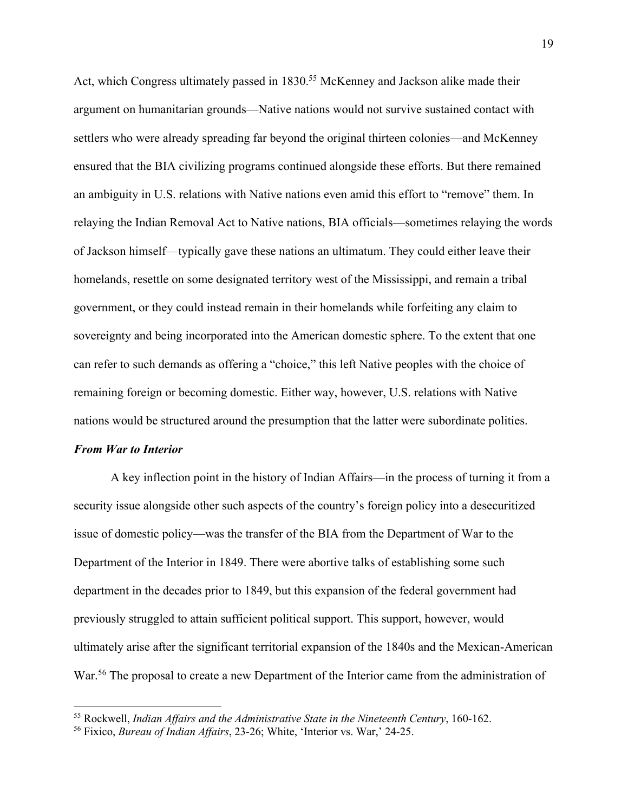Act, which Congress ultimately passed in 1830. <sup>55</sup> McKenney and Jackson alike made their argument on humanitarian grounds—Native nations would not survive sustained contact with settlers who were already spreading far beyond the original thirteen colonies—and McKenney ensured that the BIA civilizing programs continued alongside these efforts. But there remained an ambiguity in U.S. relations with Native nations even amid this effort to "remove" them. In relaying the Indian Removal Act to Native nations, BIA officials—sometimes relaying the words of Jackson himself—typically gave these nations an ultimatum. They could either leave their homelands, resettle on some designated territory west of the Mississippi, and remain a tribal government, or they could instead remain in their homelands while forfeiting any claim to sovereignty and being incorporated into the American domestic sphere. To the extent that one can refer to such demands as offering a "choice," this left Native peoples with the choice of remaining foreign or becoming domestic. Either way, however, U.S. relations with Native nations would be structured around the presumption that the latter were subordinate polities.

#### *From War to Interior*

A key inflection point in the history of Indian Affairs—in the process of turning it from a security issue alongside other such aspects of the country's foreign policy into a desecuritized issue of domestic policy—was the transfer of the BIA from the Department of War to the Department of the Interior in 1849. There were abortive talks of establishing some such department in the decades prior to 1849, but this expansion of the federal government had previously struggled to attain sufficient political support. This support, however, would ultimately arise after the significant territorial expansion of the 1840s and the Mexican-American War.<sup>56</sup> The proposal to create a new Department of the Interior came from the administration of

<sup>55</sup> Rockwell, *Indian Affairs and the Administrative State in the Nineteenth Century*, 160-162.

<sup>56</sup> Fixico, *Bureau of Indian Affairs*, 23-26; White, 'Interior vs. War,' 24-25.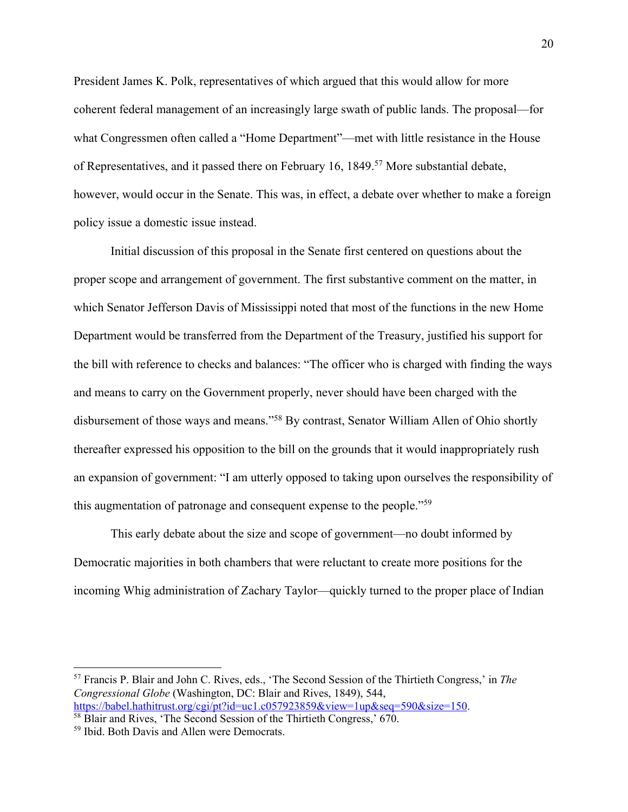President James K. Polk, representatives of which argued that this would allow for more coherent federal management of an increasingly large swath of public lands. The proposal—for what Congressmen often called a "Home Department"—met with little resistance in the House of Representatives, and it passed there on February 16, 1849. <sup>57</sup> More substantial debate, however, would occur in the Senate. This was, in effect, a debate over whether to make a foreign policy issue a domestic issue instead.

Initial discussion of this proposal in the Senate first centered on questions about the proper scope and arrangement of government. The first substantive comment on the matter, in which Senator Jefferson Davis of Mississippi noted that most of the functions in the new Home Department would be transferred from the Department of the Treasury, justified his support for the bill with reference to checks and balances: "The officer who is charged with finding the ways and means to carry on the Government properly, never should have been charged with the disbursement of those ways and means."<sup>58</sup> By contrast, Senator William Allen of Ohio shortly thereafter expressed his opposition to the bill on the grounds that it would inappropriately rush an expansion of government: "I am utterly opposed to taking upon ourselves the responsibility of this augmentation of patronage and consequent expense to the people."59

This early debate about the size and scope of government—no doubt informed by Democratic majorities in both chambers that were reluctant to create more positions for the incoming Whig administration of Zachary Taylor—quickly turned to the proper place of Indian

<sup>57</sup> Francis P. Blair and John C. Rives, eds., 'The Second Session of the Thirtieth Congress,' in *The Congressional Globe* (Washington, DC: Blair and Rives, 1849), 544, https://babel.hathitrust.org/cgi/pt?id=uc1.c057923859&view=1up&seq=590&size=150.

<sup>&</sup>lt;sup>58</sup> Blair and Rives, 'The Second Session of the Thirtieth Congress,' 670.

<sup>59</sup> Ibid. Both Davis and Allen were Democrats.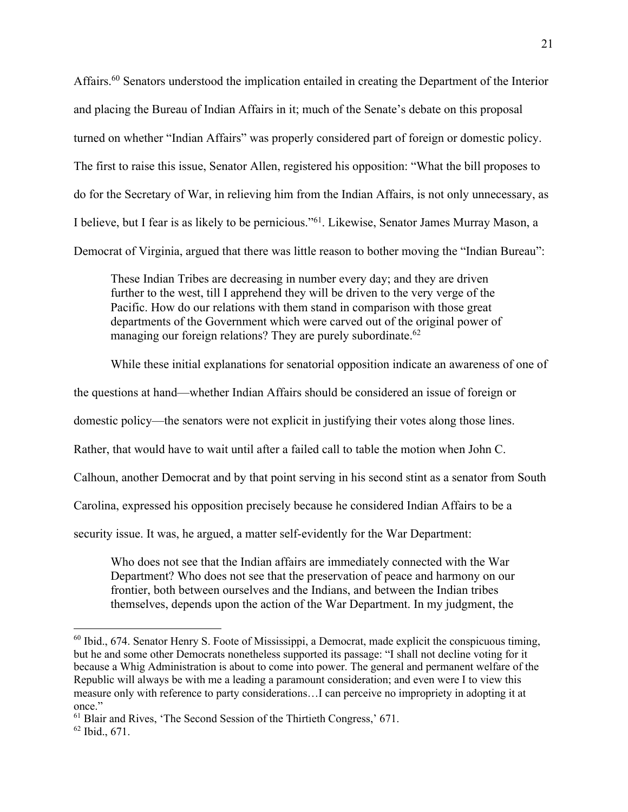Affairs.60 Senators understood the implication entailed in creating the Department of the Interior and placing the Bureau of Indian Affairs in it; much of the Senate's debate on this proposal turned on whether "Indian Affairs" was properly considered part of foreign or domestic policy. The first to raise this issue, Senator Allen, registered his opposition: "What the bill proposes to do for the Secretary of War, in relieving him from the Indian Affairs, is not only unnecessary, as I believe, but I fear is as likely to be pernicious."61. Likewise, Senator James Murray Mason, a Democrat of Virginia, argued that there was little reason to bother moving the "Indian Bureau":

These Indian Tribes are decreasing in number every day; and they are driven further to the west, till I apprehend they will be driven to the very verge of the Pacific. How do our relations with them stand in comparison with those great departments of the Government which were carved out of the original power of managing our foreign relations? They are purely subordinate.<sup>62</sup>

While these initial explanations for senatorial opposition indicate an awareness of one of

the questions at hand—whether Indian Affairs should be considered an issue of foreign or

domestic policy—the senators were not explicit in justifying their votes along those lines.

Rather, that would have to wait until after a failed call to table the motion when John C.

Calhoun, another Democrat and by that point serving in his second stint as a senator from South

Carolina, expressed his opposition precisely because he considered Indian Affairs to be a

security issue. It was, he argued, a matter self-evidently for the War Department:

Who does not see that the Indian affairs are immediately connected with the War Department? Who does not see that the preservation of peace and harmony on our frontier, both between ourselves and the Indians, and between the Indian tribes themselves, depends upon the action of the War Department. In my judgment, the

<sup>&</sup>lt;sup>60</sup> Ibid., 674. Senator Henry S. Foote of Mississippi, a Democrat, made explicit the conspicuous timing, but he and some other Democrats nonetheless supported its passage: "I shall not decline voting for it because a Whig Administration is about to come into power. The general and permanent welfare of the Republic will always be with me a leading a paramount consideration; and even were I to view this measure only with reference to party considerations…I can perceive no impropriety in adopting it at once."

<sup>&</sup>lt;sup>61</sup> Blair and Rives, 'The Second Session of the Thirtieth Congress,' 671.

<sup>62</sup> Ibid., 671.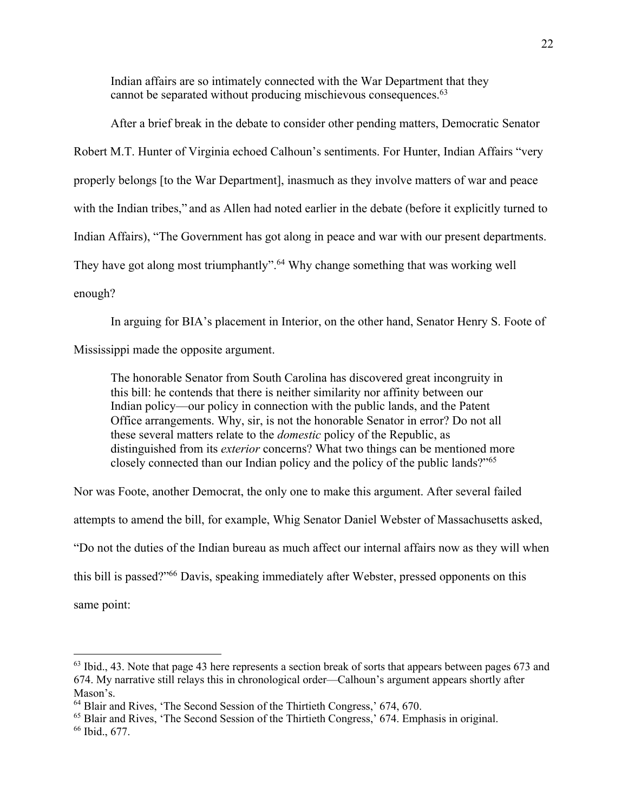Indian affairs are so intimately connected with the War Department that they cannot be separated without producing mischievous consequences.<sup>63</sup>

After a brief break in the debate to consider other pending matters, Democratic Senator Robert M.T. Hunter of Virginia echoed Calhoun's sentiments. For Hunter, Indian Affairs "very properly belongs [to the War Department], inasmuch as they involve matters of war and peace with the Indian tribes," and as Allen had noted earlier in the debate (before it explicitly turned to Indian Affairs), "The Government has got along in peace and war with our present departments. They have got along most triumphantly".<sup>64</sup> Why change something that was working well enough?

In arguing for BIA's placement in Interior, on the other hand, Senator Henry S. Foote of Mississippi made the opposite argument.

The honorable Senator from South Carolina has discovered great incongruity in this bill: he contends that there is neither similarity nor affinity between our Indian policy—our policy in connection with the public lands, and the Patent Office arrangements. Why, sir, is not the honorable Senator in error? Do not all these several matters relate to the *domestic* policy of the Republic, as distinguished from its *exterior* concerns? What two things can be mentioned more closely connected than our Indian policy and the policy of the public lands?"65

Nor was Foote, another Democrat, the only one to make this argument. After several failed

attempts to amend the bill, for example, Whig Senator Daniel Webster of Massachusetts asked,

"Do not the duties of the Indian bureau as much affect our internal affairs now as they will when

this bill is passed?"66 Davis, speaking immediately after Webster, pressed opponents on this

same point:

 $63$  Ibid., 43. Note that page 43 here represents a section break of sorts that appears between pages 673 and 674. My narrative still relays this in chronological order—Calhoun's argument appears shortly after Mason's.

<sup>&</sup>lt;sup>64</sup> Blair and Rives, 'The Second Session of the Thirtieth Congress,' 674, 670.

<sup>&</sup>lt;sup>65</sup> Blair and Rives, 'The Second Session of the Thirtieth Congress,' 674. Emphasis in original.

<sup>66</sup> Ibid., 677.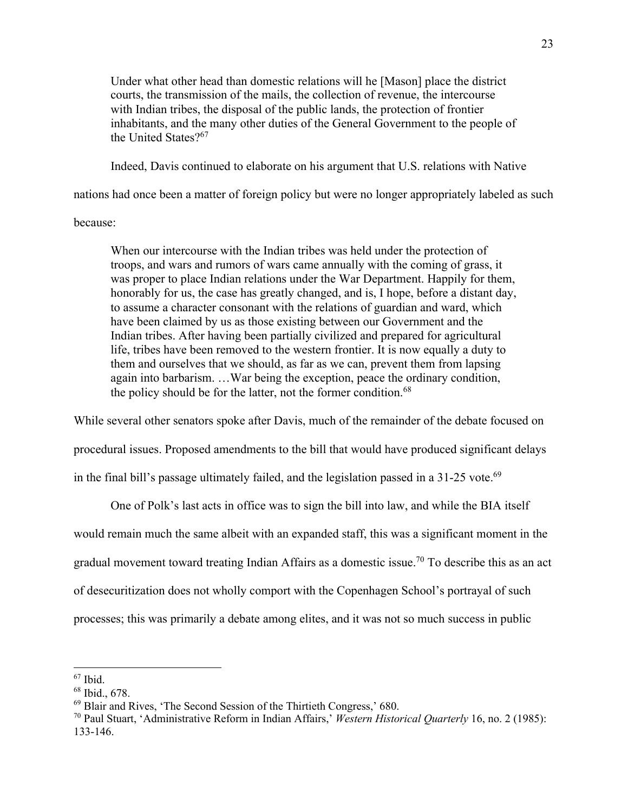Under what other head than domestic relations will he [Mason] place the district courts, the transmission of the mails, the collection of revenue, the intercourse with Indian tribes, the disposal of the public lands, the protection of frontier inhabitants, and the many other duties of the General Government to the people of the United States?67

Indeed, Davis continued to elaborate on his argument that U.S. relations with Native

nations had once been a matter of foreign policy but were no longer appropriately labeled as such

#### because:

When our intercourse with the Indian tribes was held under the protection of troops, and wars and rumors of wars came annually with the coming of grass, it was proper to place Indian relations under the War Department. Happily for them, honorably for us, the case has greatly changed, and is, I hope, before a distant day, to assume a character consonant with the relations of guardian and ward, which have been claimed by us as those existing between our Government and the Indian tribes. After having been partially civilized and prepared for agricultural life, tribes have been removed to the western frontier. It is now equally a duty to them and ourselves that we should, as far as we can, prevent them from lapsing again into barbarism. …War being the exception, peace the ordinary condition, the policy should be for the latter, not the former condition.<sup>68</sup>

While several other senators spoke after Davis, much of the remainder of the debate focused on

procedural issues. Proposed amendments to the bill that would have produced significant delays

in the final bill's passage ultimately failed, and the legislation passed in a 31-25 vote.<sup>69</sup>

One of Polk's last acts in office was to sign the bill into law, and while the BIA itself would remain much the same albeit with an expanded staff, this was a significant moment in the gradual movement toward treating Indian Affairs as a domestic issue. <sup>70</sup> To describe this as an act of desecuritization does not wholly comport with the Copenhagen School's portrayal of such processes; this was primarily a debate among elites, and it was not so much success in public

 $67$  Ibid.

<sup>68</sup> Ibid., 678.

<sup>69</sup> Blair and Rives, 'The Second Session of the Thirtieth Congress,' 680.

<sup>70</sup> Paul Stuart, 'Administrative Reform in Indian Affairs,' *Western Historical Quarterly* 16, no. 2 (1985): 133-146.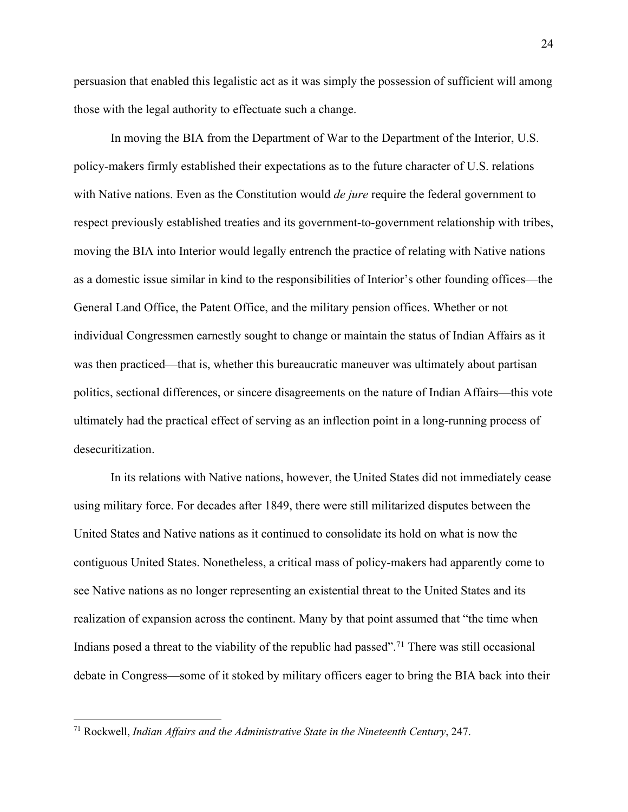persuasion that enabled this legalistic act as it was simply the possession of sufficient will among those with the legal authority to effectuate such a change.

In moving the BIA from the Department of War to the Department of the Interior, U.S. policy-makers firmly established their expectations as to the future character of U.S. relations with Native nations. Even as the Constitution would *de jure* require the federal government to respect previously established treaties and its government-to-government relationship with tribes, moving the BIA into Interior would legally entrench the practice of relating with Native nations as a domestic issue similar in kind to the responsibilities of Interior's other founding offices—the General Land Office, the Patent Office, and the military pension offices. Whether or not individual Congressmen earnestly sought to change or maintain the status of Indian Affairs as it was then practiced—that is, whether this bureaucratic maneuver was ultimately about partisan politics, sectional differences, or sincere disagreements on the nature of Indian Affairs—this vote ultimately had the practical effect of serving as an inflection point in a long-running process of desecuritization.

In its relations with Native nations, however, the United States did not immediately cease using military force. For decades after 1849, there were still militarized disputes between the United States and Native nations as it continued to consolidate its hold on what is now the contiguous United States. Nonetheless, a critical mass of policy-makers had apparently come to see Native nations as no longer representing an existential threat to the United States and its realization of expansion across the continent. Many by that point assumed that "the time when Indians posed a threat to the viability of the republic had passed".<sup>71</sup> There was still occasional debate in Congress—some of it stoked by military officers eager to bring the BIA back into their

<sup>71</sup> Rockwell, *Indian Affairs and the Administrative State in the Nineteenth Century*, 247.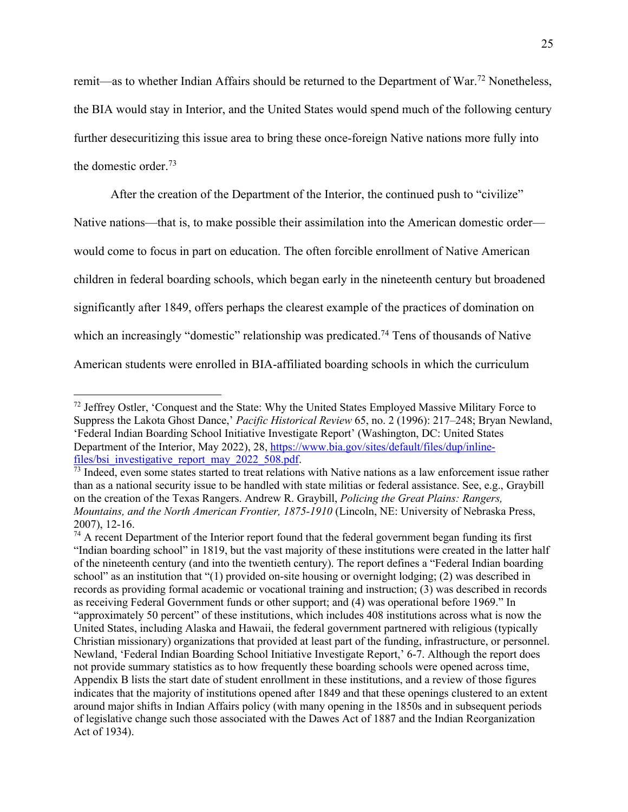remit—as to whether Indian Affairs should be returned to the Department of War.<sup>72</sup> Nonetheless, the BIA would stay in Interior, and the United States would spend much of the following century further desecuritizing this issue area to bring these once-foreign Native nations more fully into the domestic order. 73

After the creation of the Department of the Interior, the continued push to "civilize" Native nations—that is, to make possible their assimilation into the American domestic order would come to focus in part on education. The often forcible enrollment of Native American children in federal boarding schools, which began early in the nineteenth century but broadened significantly after 1849, offers perhaps the clearest example of the practices of domination on which an increasingly "domestic" relationship was predicated.<sup>74</sup> Tens of thousands of Native American students were enrolled in BIA-affiliated boarding schools in which the curriculum

<sup>&</sup>lt;sup>72</sup> Jeffrey Ostler, 'Conquest and the State: Why the United States Employed Massive Military Force to Suppress the Lakota Ghost Dance,' *Pacific Historical Review* 65, no. 2 (1996): 217–248; Bryan Newland, 'Federal Indian Boarding School Initiative Investigate Report' (Washington, DC: United States Department of the Interior, May 2022), 28, https://www.bia.gov/sites/default/files/dup/inlinefiles/bsi\_investigative\_report\_may\_2022\_508.pdf.

<sup>&</sup>lt;sup>73</sup> Indeed, even some states started to treat relations with Native nations as a law enforcement issue rather than as a national security issue to be handled with state militias or federal assistance. See, e.g., Graybill on the creation of the Texas Rangers. Andrew R. Graybill, *Policing the Great Plains: Rangers, Mountains, and the North American Frontier, 1875-1910* (Lincoln, NE: University of Nebraska Press, 2007), 12-16.

 $74$  A recent Department of the Interior report found that the federal government began funding its first "Indian boarding school" in 1819, but the vast majority of these institutions were created in the latter half of the nineteenth century (and into the twentieth century). The report defines a "Federal Indian boarding school" as an institution that "(1) provided on-site housing or overnight lodging; (2) was described in records as providing formal academic or vocational training and instruction; (3) was described in records as receiving Federal Government funds or other support; and (4) was operational before 1969." In "approximately 50 percent" of these institutions, which includes 408 institutions across what is now the United States, including Alaska and Hawaii, the federal government partnered with religious (typically Christian missionary) organizations that provided at least part of the funding, infrastructure, or personnel. Newland, 'Federal Indian Boarding School Initiative Investigate Report,' 6-7. Although the report does not provide summary statistics as to how frequently these boarding schools were opened across time, Appendix B lists the start date of student enrollment in these institutions, and a review of those figures indicates that the majority of institutions opened after 1849 and that these openings clustered to an extent around major shifts in Indian Affairs policy (with many opening in the 1850s and in subsequent periods of legislative change such those associated with the Dawes Act of 1887 and the Indian Reorganization Act of 1934).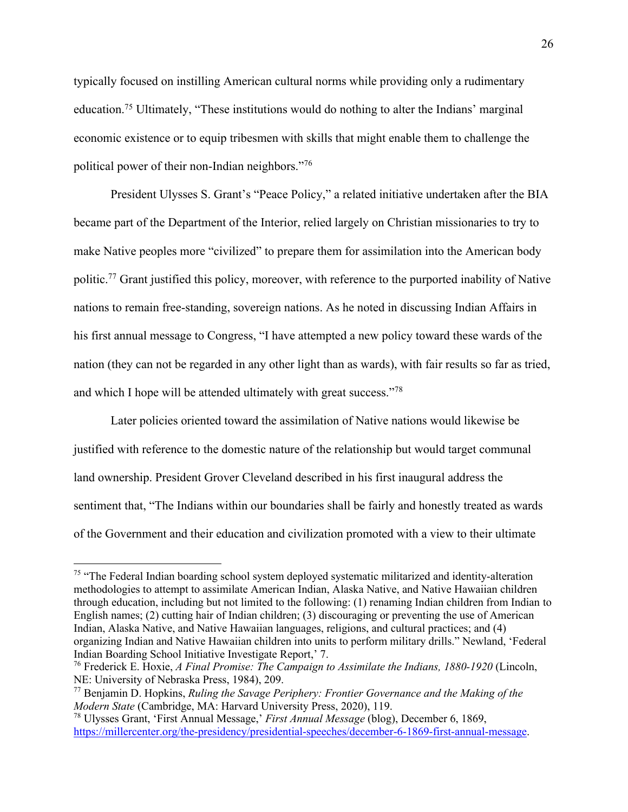typically focused on instilling American cultural norms while providing only a rudimentary education.<sup>75</sup> Ultimately, "These institutions would do nothing to alter the Indians' marginal economic existence or to equip tribesmen with skills that might enable them to challenge the political power of their non-Indian neighbors."76

President Ulysses S. Grant's "Peace Policy," a related initiative undertaken after the BIA became part of the Department of the Interior, relied largely on Christian missionaries to try to make Native peoples more "civilized" to prepare them for assimilation into the American body politic.<sup>77</sup> Grant justified this policy, moreover, with reference to the purported inability of Native nations to remain free-standing, sovereign nations. As he noted in discussing Indian Affairs in his first annual message to Congress, "I have attempted a new policy toward these wards of the nation (they can not be regarded in any other light than as wards), with fair results so far as tried, and which I hope will be attended ultimately with great success."78

Later policies oriented toward the assimilation of Native nations would likewise be justified with reference to the domestic nature of the relationship but would target communal land ownership. President Grover Cleveland described in his first inaugural address the sentiment that, "The Indians within our boundaries shall be fairly and honestly treated as wards of the Government and their education and civilization promoted with a view to their ultimate

<sup>&</sup>lt;sup>75</sup> "The Federal Indian boarding school system deployed systematic militarized and identity-alteration methodologies to attempt to assimilate American Indian, Alaska Native, and Native Hawaiian children through education, including but not limited to the following: (1) renaming Indian children from Indian to English names; (2) cutting hair of Indian children; (3) discouraging or preventing the use of American Indian, Alaska Native, and Native Hawaiian languages, religions, and cultural practices; and (4) organizing Indian and Native Hawaiian children into units to perform military drills." Newland, 'Federal Indian Boarding School Initiative Investigate Report,' 7.

<sup>76</sup> Frederick E. Hoxie, *A Final Promise: The Campaign to Assimilate the Indians, 1880-1920* (Lincoln, NE: University of Nebraska Press, 1984), 209.

<sup>77</sup> Benjamin D. Hopkins, *Ruling the Savage Periphery: Frontier Governance and the Making of the Modern State* (Cambridge, MA: Harvard University Press, 2020), 119.

<sup>78</sup> Ulysses Grant, 'First Annual Message,' *First Annual Message* (blog), December 6, 1869, https://millercenter.org/the-presidency/presidential-speeches/december-6-1869-first-annual-message.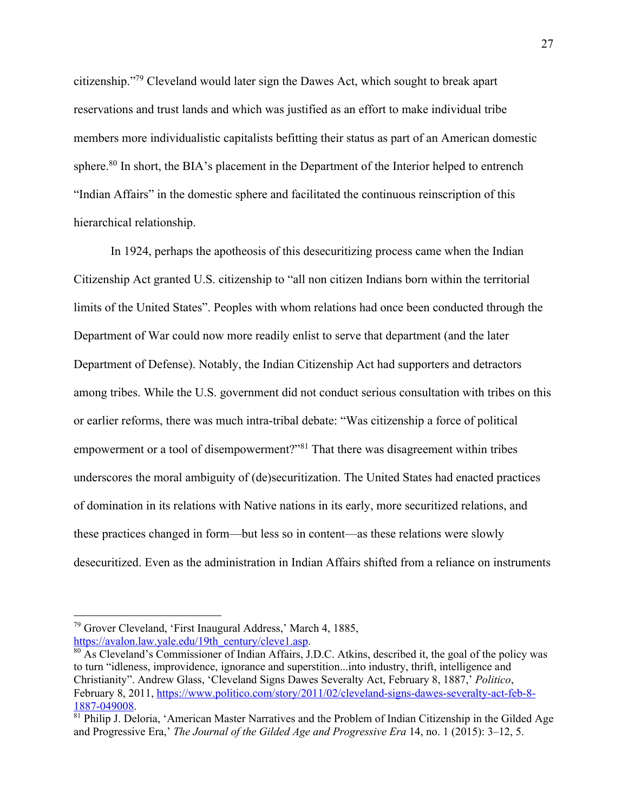citizenship."79 Cleveland would later sign the Dawes Act, which sought to break apart reservations and trust lands and which was justified as an effort to make individual tribe members more individualistic capitalists befitting their status as part of an American domestic sphere.<sup>80</sup> In short, the BIA's placement in the Department of the Interior helped to entrench "Indian Affairs" in the domestic sphere and facilitated the continuous reinscription of this hierarchical relationship.

In 1924, perhaps the apotheosis of this desecuritizing process came when the Indian Citizenship Act granted U.S. citizenship to "all non citizen Indians born within the territorial limits of the United States". Peoples with whom relations had once been conducted through the Department of War could now more readily enlist to serve that department (and the later Department of Defense). Notably, the Indian Citizenship Act had supporters and detractors among tribes. While the U.S. government did not conduct serious consultation with tribes on this or earlier reforms, there was much intra-tribal debate: "Was citizenship a force of political empowerment or a tool of disempowerment?"<sup>81</sup> That there was disagreement within tribes underscores the moral ambiguity of (de)securitization. The United States had enacted practices of domination in its relations with Native nations in its early, more securitized relations, and these practices changed in form—but less so in content—as these relations were slowly desecuritized. Even as the administration in Indian Affairs shifted from a reliance on instruments

<sup>79</sup> Grover Cleveland, 'First Inaugural Address,' March 4, 1885, https://avalon.law.yale.edu/19th\_century/cleve1.asp.

<sup>&</sup>lt;sup>80</sup> As Cleveland's Commissioner of Indian Affairs, J.D.C. Atkins, described it, the goal of the policy was to turn "idleness, improvidence, ignorance and superstition...into industry, thrift, intelligence and Christianity". Andrew Glass, 'Cleveland Signs Dawes Severalty Act, February 8, 1887,' *Politico*, February 8, 2011, https://www.politico.com/story/2011/02/cleveland-signs-dawes-severalty-act-feb-8- 1887-049008.

<sup>&</sup>lt;sup>81</sup> Philip J. Deloria, 'American Master Narratives and the Problem of Indian Citizenship in the Gilded Age and Progressive Era,' *The Journal of the Gilded Age and Progressive Era* 14, no. 1 (2015): 3–12, 5.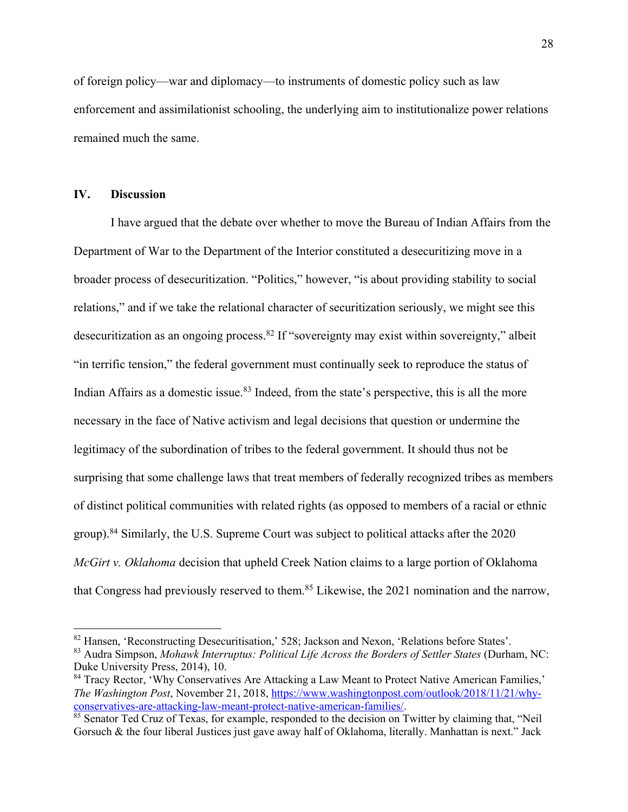of foreign policy—war and diplomacy—to instruments of domestic policy such as law enforcement and assimilationist schooling, the underlying aim to institutionalize power relations remained much the same.

### **IV. Discussion**

I have argued that the debate over whether to move the Bureau of Indian Affairs from the Department of War to the Department of the Interior constituted a desecuritizing move in a broader process of desecuritization. "Politics," however, "is about providing stability to social relations," and if we take the relational character of securitization seriously, we might see this desecuritization as an ongoing process.<sup>82</sup> If "sovereignty may exist within sovereignty," albeit "in terrific tension," the federal government must continually seek to reproduce the status of Indian Affairs as a domestic issue.<sup>83</sup> Indeed, from the state's perspective, this is all the more necessary in the face of Native activism and legal decisions that question or undermine the legitimacy of the subordination of tribes to the federal government. It should thus not be surprising that some challenge laws that treat members of federally recognized tribes as members of distinct political communities with related rights (as opposed to members of a racial or ethnic group). <sup>84</sup> Similarly, the U.S. Supreme Court was subject to political attacks after the 2020 *McGirt v. Oklahoma* decision that upheld Creek Nation claims to a large portion of Oklahoma that Congress had previously reserved to them.<sup>85</sup> Likewise, the 2021 nomination and the narrow,

<sup>&</sup>lt;sup>82</sup> Hansen, 'Reconstructing Desecuritisation,' 528; Jackson and Nexon, 'Relations before States'.

<sup>83</sup> Audra Simpson, *Mohawk Interruptus: Political Life Across the Borders of Settler States* (Durham, NC: Duke University Press, 2014), 10.

<sup>&</sup>lt;sup>84</sup> Tracy Rector, 'Why Conservatives Are Attacking a Law Meant to Protect Native American Families,' *The Washington Post*, November 21, 2018, https://www.washingtonpost.com/outlook/2018/11/21/whyconservatives-are-attacking-law-meant-protect-native-american-families/.

<sup>&</sup>lt;sup>85</sup> Senator Ted Cruz of Texas, for example, responded to the decision on Twitter by claiming that, "Neil Gorsuch & the four liberal Justices just gave away half of Oklahoma, literally. Manhattan is next." Jack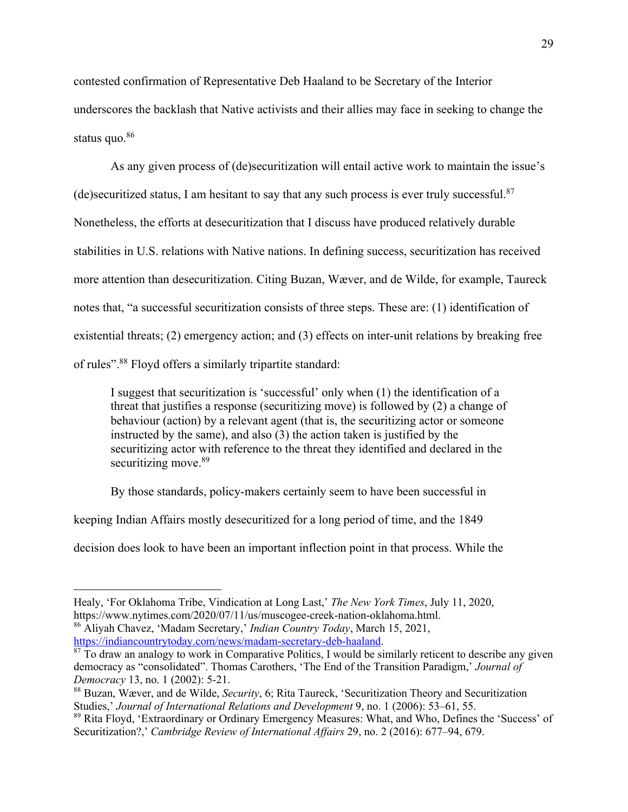contested confirmation of Representative Deb Haaland to be Secretary of the Interior underscores the backlash that Native activists and their allies may face in seeking to change the status quo. 86

As any given process of (de)securitization will entail active work to maintain the issue's (de)securitized status, I am hesitant to say that any such process is ever truly successful. $87$ Nonetheless, the efforts at desecuritization that I discuss have produced relatively durable stabilities in U.S. relations with Native nations. In defining success, securitization has received more attention than desecuritization. Citing Buzan, Wæver, and de Wilde, for example, Taureck notes that, "a successful securitization consists of three steps. These are: (1) identification of existential threats; (2) emergency action; and (3) effects on inter-unit relations by breaking free of rules".88 Floyd offers a similarly tripartite standard:

I suggest that securitization is 'successful' only when (1) the identification of a threat that justifies a response (securitizing move) is followed by (2) a change of behaviour (action) by a relevant agent (that is, the securitizing actor or someone instructed by the same), and also (3) the action taken is justified by the securitizing actor with reference to the threat they identified and declared in the securitizing move.<sup>89</sup>

By those standards, policy-makers certainly seem to have been successful in

keeping Indian Affairs mostly desecuritized for a long period of time, and the 1849

decision does look to have been an important inflection point in that process. While the

Healy, 'For Oklahoma Tribe, Vindication at Long Last,' *The New York Times*, July 11, 2020, https://www.nytimes.com/2020/07/11/us/muscogee-creek-nation-oklahoma.html.

<sup>86</sup> Aliyah Chavez, 'Madam Secretary,' *Indian Country Today*, March 15, 2021, https://indiancountrytoday.com/news/madam-secretary-deb-haaland.

 $87$  To draw an analogy to work in Comparative Politics, I would be similarly reticent to describe any given democracy as "consolidated". Thomas Carothers, 'The End of the Transition Paradigm,' *Journal of Democracy* 13, no. 1 (2002): 5-21.

<sup>88</sup> Buzan, Wæver, and de Wilde, *Security*, 6; Rita Taureck, 'Securitization Theory and Securitization Studies,' *Journal of International Relations and Development* 9, no. 1 (2006): 53–61, 55.

<sup>89</sup> Rita Floyd, 'Extraordinary or Ordinary Emergency Measures: What, and Who, Defines the 'Success' of Securitization?,' *Cambridge Review of International Affairs* 29, no. 2 (2016): 677–94, 679.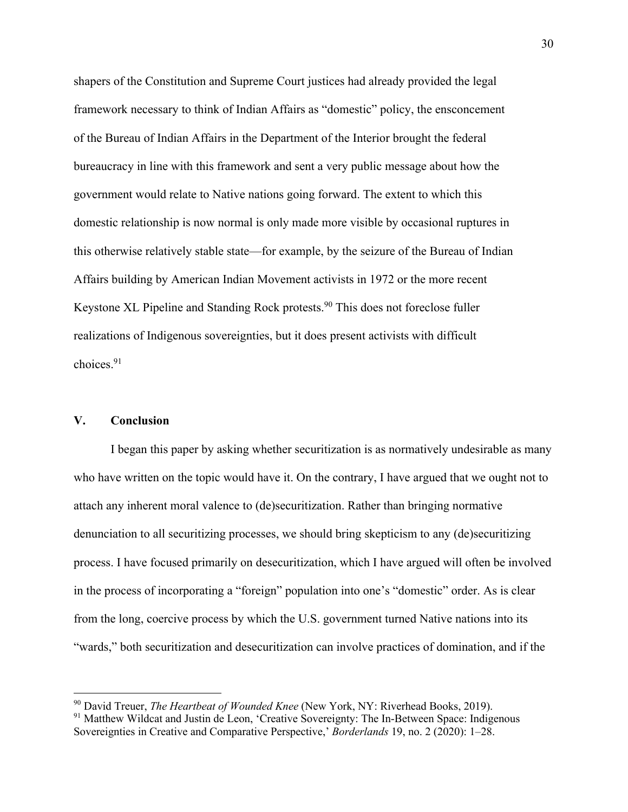shapers of the Constitution and Supreme Court justices had already provided the legal framework necessary to think of Indian Affairs as "domestic" policy, the ensconcement of the Bureau of Indian Affairs in the Department of the Interior brought the federal bureaucracy in line with this framework and sent a very public message about how the government would relate to Native nations going forward. The extent to which this domestic relationship is now normal is only made more visible by occasional ruptures in this otherwise relatively stable state—for example, by the seizure of the Bureau of Indian Affairs building by American Indian Movement activists in 1972 or the more recent Keystone XL Pipeline and Standing Rock protests. <sup>90</sup> This does not foreclose fuller realizations of Indigenous sovereignties, but it does present activists with difficult choices.91

#### **V. Conclusion**

I began this paper by asking whether securitization is as normatively undesirable as many who have written on the topic would have it. On the contrary, I have argued that we ought not to attach any inherent moral valence to (de)securitization. Rather than bringing normative denunciation to all securitizing processes, we should bring skepticism to any (de)securitizing process. I have focused primarily on desecuritization, which I have argued will often be involved in the process of incorporating a "foreign" population into one's "domestic" order. As is clear from the long, coercive process by which the U.S. government turned Native nations into its "wards," both securitization and desecuritization can involve practices of domination, and if the

<sup>90</sup> David Treuer, *The Heartbeat of Wounded Knee* (New York, NY: Riverhead Books, 2019).

 $91$  Matthew Wildcat and Justin de Leon, 'Creative Sovereignty: The In-Between Space: Indigenous Sovereignties in Creative and Comparative Perspective,' *Borderlands* 19, no. 2 (2020): 1–28.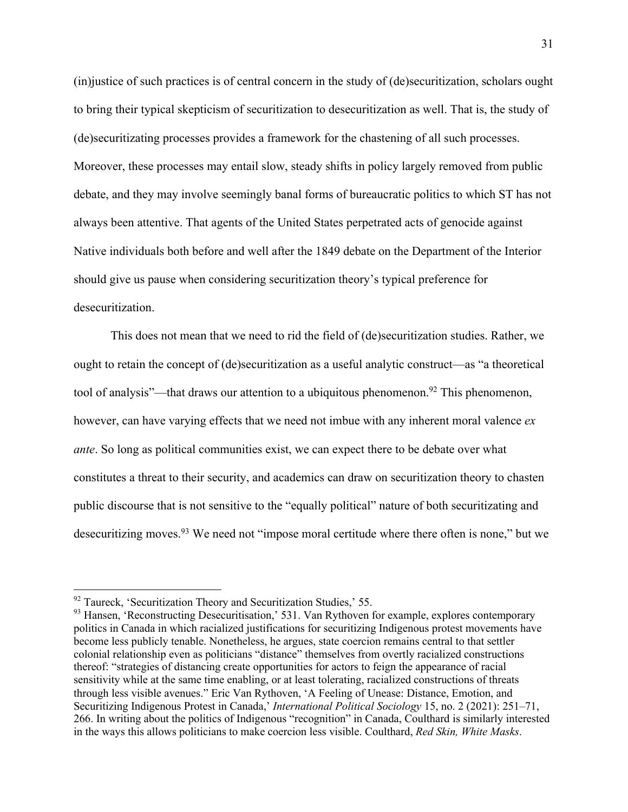(in)justice of such practices is of central concern in the study of (de)securitization, scholars ought to bring their typical skepticism of securitization to desecuritization as well. That is, the study of (de)securitizating processes provides a framework for the chastening of all such processes. Moreover, these processes may entail slow, steady shifts in policy largely removed from public debate, and they may involve seemingly banal forms of bureaucratic politics to which ST has not always been attentive. That agents of the United States perpetrated acts of genocide against Native individuals both before and well after the 1849 debate on the Department of the Interior should give us pause when considering securitization theory's typical preference for desecuritization.

This does not mean that we need to rid the field of (de)securitization studies. Rather, we ought to retain the concept of (de)securitization as a useful analytic construct—as "a theoretical tool of analysis"—that draws our attention to a ubiquitous phenomenon.<sup>92</sup> This phenomenon, however, can have varying effects that we need not imbue with any inherent moral valence *ex ante*. So long as political communities exist, we can expect there to be debate over what constitutes a threat to their security, and academics can draw on securitization theory to chasten public discourse that is not sensitive to the "equally political" nature of both securitizating and desecuritizing moves.<sup>93</sup> We need not "impose moral certitude where there often is none," but we

<sup>&</sup>lt;sup>92</sup> Taureck, 'Securitization Theory and Securitization Studies,' 55.

 $93$  Hansen, 'Reconstructing Desecuritisation,' 531. Van Rythoven for example, explores contemporary politics in Canada in which racialized justifications for securitizing Indigenous protest movements have become less publicly tenable. Nonetheless, he argues, state coercion remains central to that settler colonial relationship even as politicians "distance" themselves from overtly racialized constructions thereof: "strategies of distancing create opportunities for actors to feign the appearance of racial sensitivity while at the same time enabling, or at least tolerating, racialized constructions of threats through less visible avenues." Eric Van Rythoven, 'A Feeling of Unease: Distance, Emotion, and Securitizing Indigenous Protest in Canada,' *International Political Sociology* 15, no. 2 (2021): 251–71, 266. In writing about the politics of Indigenous "recognition" in Canada, Coulthard is similarly interested in the ways this allows politicians to make coercion less visible. Coulthard, *Red Skin, White Masks*.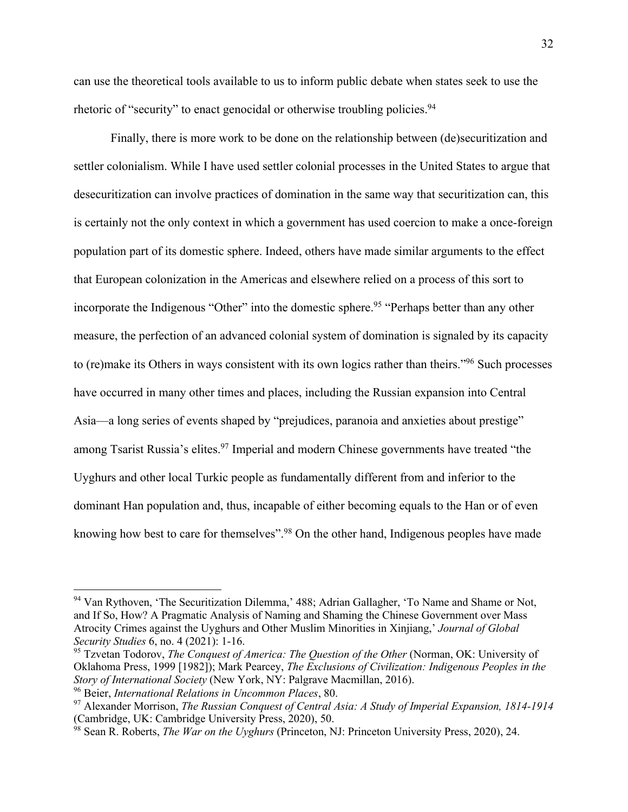can use the theoretical tools available to us to inform public debate when states seek to use the rhetoric of "security" to enact genocidal or otherwise troubling policies.<sup>94</sup>

Finally, there is more work to be done on the relationship between (de)securitization and settler colonialism. While I have used settler colonial processes in the United States to argue that desecuritization can involve practices of domination in the same way that securitization can, this is certainly not the only context in which a government has used coercion to make a once-foreign population part of its domestic sphere. Indeed, others have made similar arguments to the effect that European colonization in the Americas and elsewhere relied on a process of this sort to incorporate the Indigenous "Other" into the domestic sphere.<sup>95</sup> "Perhaps better than any other measure, the perfection of an advanced colonial system of domination is signaled by its capacity to (re)make its Others in ways consistent with its own logics rather than theirs."96 Such processes have occurred in many other times and places, including the Russian expansion into Central Asia—a long series of events shaped by "prejudices, paranoia and anxieties about prestige" among Tsarist Russia's elites.<sup>97</sup> Imperial and modern Chinese governments have treated "the Uyghurs and other local Turkic people as fundamentally different from and inferior to the dominant Han population and, thus, incapable of either becoming equals to the Han or of even knowing how best to care for themselves".<sup>98</sup> On the other hand, Indigenous peoples have made

<sup>&</sup>lt;sup>94</sup> Van Rythoven, 'The Securitization Dilemma,' 488; Adrian Gallagher, 'To Name and Shame or Not, and If So, How? A Pragmatic Analysis of Naming and Shaming the Chinese Government over Mass Atrocity Crimes against the Uyghurs and Other Muslim Minorities in Xinjiang,' *Journal of Global Security Studies* 6, no. 4 (2021): 1-16.

<sup>95</sup> Tzvetan Todorov, *The Conquest of America: The Question of the Other* (Norman, OK: University of Oklahoma Press, 1999 [1982]); Mark Pearcey, *The Exclusions of Civilization: Indigenous Peoples in the Story of International Society* (New York, NY: Palgrave Macmillan, 2016).

<sup>96</sup> Beier, *International Relations in Uncommon Places*, 80.

<sup>97</sup> Alexander Morrison, *The Russian Conquest of Central Asia: A Study of Imperial Expansion, 1814-1914* (Cambridge, UK: Cambridge University Press, 2020), 50.

<sup>98</sup> Sean R. Roberts, *The War on the Uyghurs* (Princeton, NJ: Princeton University Press, 2020), 24.